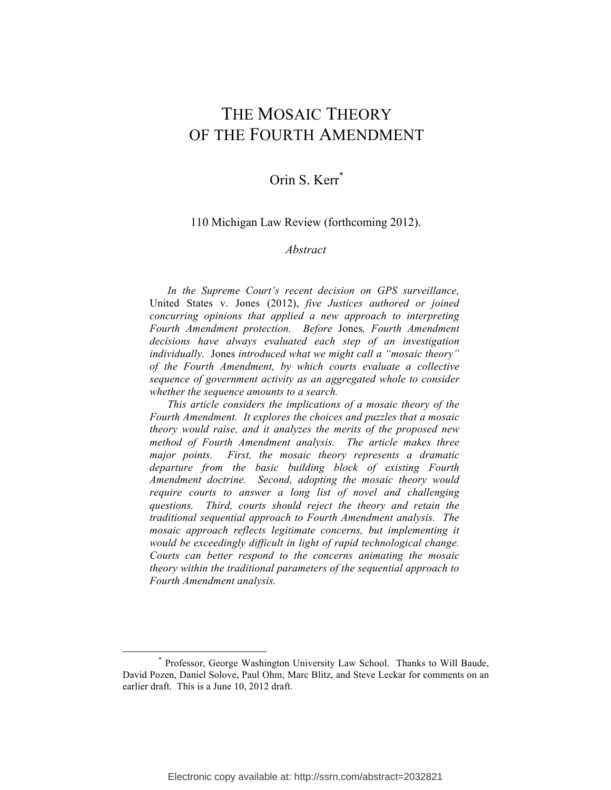# THE MOSAIC THEORY OF THE FOURTH AMENDMENT

## Orin S. Kerr<sup>\*</sup>

#### 110 Michigan Law Review (forthcoming 2012).

#### *Abstract*

*In the Supreme Court's recent decision on GPS surveillance,*  United States v. Jones (2012), *five Justices authored or joined concurring opinions that applied a new approach to interpreting Fourth Amendment protection. Before* Jones*, Fourth Amendment decisions have always evaluated each step of an investigation individually.* Jones *introduced what we might call a "mosaic theory" of the Fourth Amendment, by which courts evaluate a collective sequence of government activity as an aggregated whole to consider whether the sequence amounts to a search.* 

*This article considers the implications of a mosaic theory of the Fourth Amendment. It explores the choices and puzzles that a mosaic theory would raise, and it analyzes the merits of the proposed new method of Fourth Amendment analysis. The article makes three major points. First, the mosaic theory represents a dramatic departure from the basic building block of existing Fourth Amendment doctrine. Second, adopting the mosaic theory would require courts to answer a long list of novel and challenging questions. Third, courts should reject the theory and retain the traditional sequential approach to Fourth Amendment analysis. The mosaic approach reflects legitimate concerns, but implementing it would be exceedingly difficult in light of rapid technological change. Courts can better respond to the concerns animating the mosaic theory within the traditional parameters of the sequential approach to Fourth Amendment analysis.*

<sup>\*</sup> Professor, George Washington University Law School. Thanks to Will Baude, David Pozen, Daniel Solove, Paul Ohm, Marc Blitz, and Steve Leckar for comments on an earlier draft. This is a June 10, 2012 draft.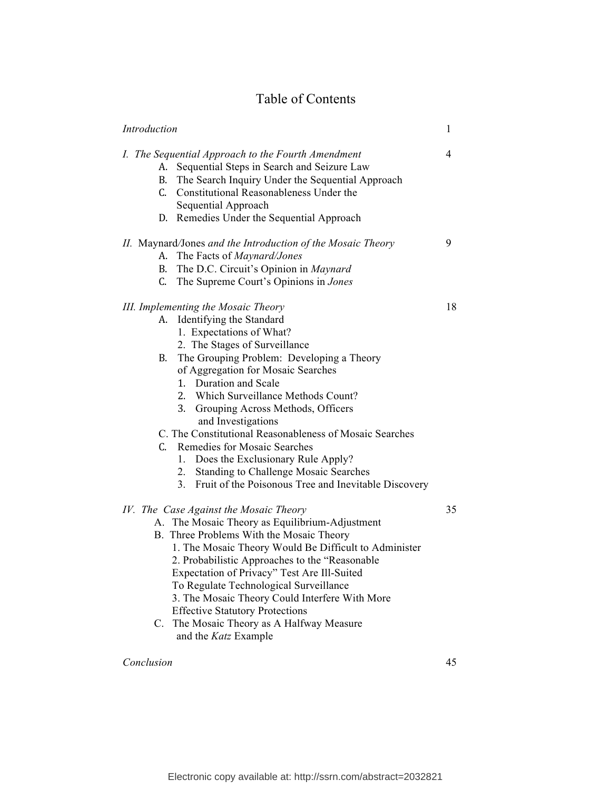## Table of Contents

| Introduction |          |                                                                                                                                                                                                                                                                                                                                                                                                                                                                                                                                                                                                             | 1  |
|--------------|----------|-------------------------------------------------------------------------------------------------------------------------------------------------------------------------------------------------------------------------------------------------------------------------------------------------------------------------------------------------------------------------------------------------------------------------------------------------------------------------------------------------------------------------------------------------------------------------------------------------------------|----|
|              | А.       | I. The Sequential Approach to the Fourth Amendment<br>Sequential Steps in Search and Seizure Law<br>B. The Search Inquiry Under the Sequential Approach<br>C. Constitutional Reasonableness Under the<br>Sequential Approach<br>D. Remedies Under the Sequential Approach                                                                                                                                                                                                                                                                                                                                   | 4  |
|              |          | II. Maynard/Jones and the Introduction of the Mosaic Theory<br>A. The Facts of <i>Maynard/Jones</i><br>B. The D.C. Circuit's Opinion in Maynard<br>C. The Supreme Court's Opinions in Jones                                                                                                                                                                                                                                                                                                                                                                                                                 | 9  |
|              | А.<br>В. | III. Implementing the Mosaic Theory<br>Identifying the Standard<br>1. Expectations of What?<br>2. The Stages of Surveillance<br>The Grouping Problem: Developing a Theory<br>of Aggregation for Mosaic Searches<br>1. Duration and Scale<br>2. Which Surveillance Methods Count?<br>3. Grouping Across Methods, Officers<br>and Investigations<br>C. The Constitutional Reasonableness of Mosaic Searches<br>C. Remedies for Mosaic Searches<br>Does the Exclusionary Rule Apply?<br>1.<br><b>Standing to Challenge Mosaic Searches</b><br>2.<br>3.<br>Fruit of the Poisonous Tree and Inevitable Discovery | 18 |
|              |          | IV. The Case Against the Mosaic Theory<br>A. The Mosaic Theory as Equilibrium-Adjustment<br>B. Three Problems With the Mosaic Theory<br>1. The Mosaic Theory Would Be Difficult to Administer<br>2. Probabilistic Approaches to the "Reasonable"<br>Expectation of Privacy" Test Are Ill-Suited<br>To Regulate Technological Surveillance<br>3. The Mosaic Theory Could Interfere With More<br><b>Effective Statutory Protections</b><br>C. The Mosaic Theory as A Halfway Measure<br>and the Katz Example                                                                                                  | 35 |

## *Conclusion* 45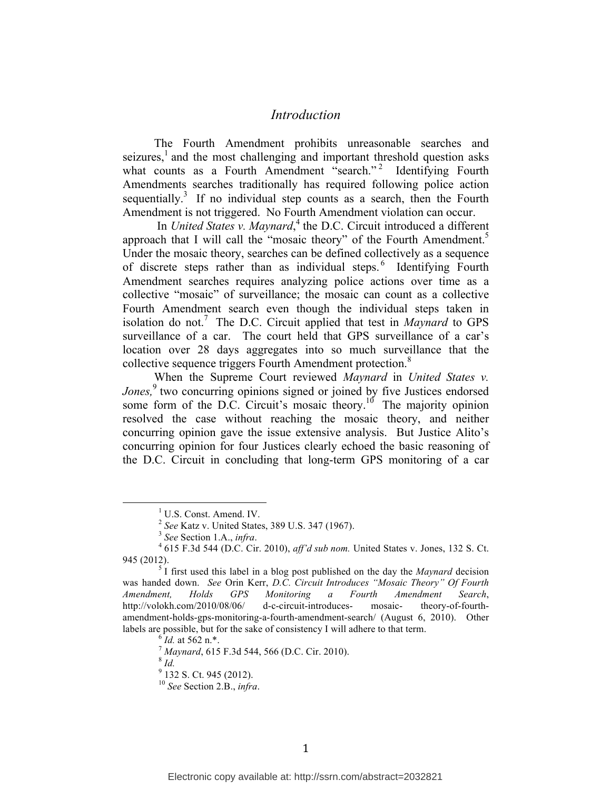## *Introduction*

The Fourth Amendment prohibits unreasonable searches and seizures, $<sup>1</sup>$  and the most challenging and important threshold question asks</sup> what counts as a Fourth Amendment "search."<sup>2</sup> Identifying Fourth Amendments searches traditionally has required following police action sequentially.<sup>3</sup> If no individual step counts as a search, then the Fourth Amendment is not triggered. No Fourth Amendment violation can occur.

In *United States v. Maynard*,<sup>4</sup> the D.C. Circuit introduced a different approach that I will call the "mosaic theory" of the Fourth Amendment.<sup>5</sup> Under the mosaic theory, searches can be defined collectively as a sequence of discrete steps rather than as individual steps.<sup>6</sup> Identifying Fourth Amendment searches requires analyzing police actions over time as a collective "mosaic" of surveillance; the mosaic can count as a collective Fourth Amendment search even though the individual steps taken in isolation do not.<sup>7</sup> The D.C. Circuit applied that test in *Maynard* to GPS surveillance of a car. The court held that GPS surveillance of a car's location over 28 days aggregates into so much surveillance that the collective sequence triggers Fourth Amendment protection.<sup>8</sup>

When the Supreme Court reviewed *Maynard* in *United States v. Jones*,<sup>9</sup> two concurring opinions signed or joined by five Justices endorsed some form of the D.C. Circuit's mosaic theory.<sup>10</sup> The majority opinion resolved the case without reaching the mosaic theory, and neither concurring opinion gave the issue extensive analysis. But Justice Alito's concurring opinion for four Justices clearly echoed the basic reasoning of the D.C. Circuit in concluding that long-term GPS monitoring of a car

 $9\frac{100}{132}$  S. Ct. 945 (2012).

<sup>&</sup>lt;sup>1</sup> U.S. Const. Amend. IV.<br> $\frac{1}{2}$  See Katz v. United States, 389 U.S. 347 (1967).

<sup>&</sup>lt;sup>3</sup> See Section 1.A., *infra.*  $^{4}$  615 F.3d 544 (D.C. Cir. 2010), *aff'd sub nom*. United States v. Jones, 132 S. Ct. 945 (2012).<br><sup>5</sup> I first used this label in a blog post published on the day the *Maynard* decision

was handed down. *See* Orin Kerr, *D.C. Circuit Introduces "Mosaic Theory" Of Fourth Amendment, Holds GPS Monitoring a Fourth Amendment Search*, http://volokh.com/2010/08/06/ d-c-circuit-introduces- mosaic- theory-of-fourthamendment-holds-gps-monitoring-a-fourth-amendment-search/ (August 6, 2010). Other labels are possible, but for the sake of consistency I will adhere to that term.<br><sup>6</sup> *Id.* at 562 n.\*.<br><sup>7</sup> *Maynard*, 615 F.3d 544, 566 (D.C. Cir. 2010).<br><sup>8</sup> *Id* 

<sup>10</sup> *See* Section 2.B., *infra*.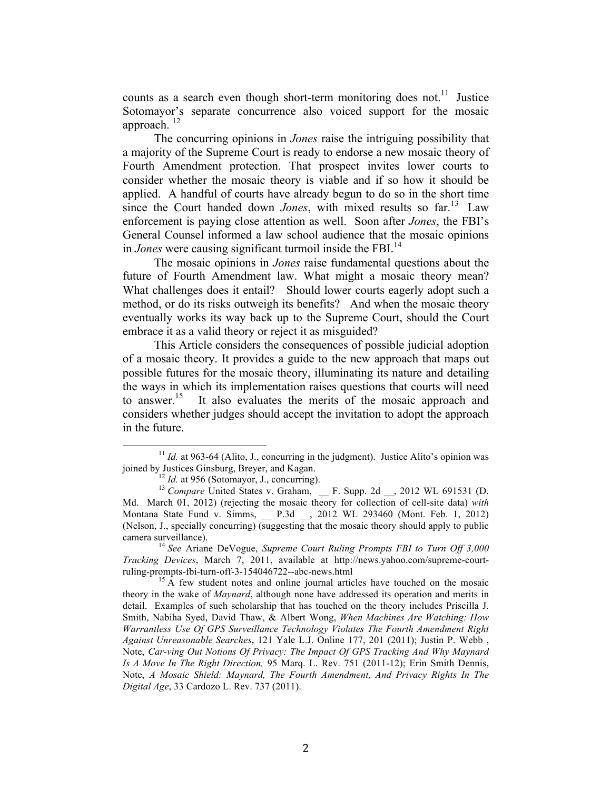counts as a search even though short-term monitoring does not.<sup>11</sup> Justice Sotomayor's separate concurrence also voiced support for the mosaic approach. 12

The concurring opinions in *Jones* raise the intriguing possibility that a majority of the Supreme Court is ready to endorse a new mosaic theory of Fourth Amendment protection. That prospect invites lower courts to consider whether the mosaic theory is viable and if so how it should be applied. A handful of courts have already begun to do so in the short time since the Court handed down *Jones*, with mixed results so far.<sup>13</sup> Law enforcement is paying close attention as well. Soon after *Jones*, the FBI's General Counsel informed a law school audience that the mosaic opinions in *Jones* were causing significant turmoil inside the FBI. 14

The mosaic opinions in *Jones* raise fundamental questions about the future of Fourth Amendment law. What might a mosaic theory mean? What challenges does it entail? Should lower courts eagerly adopt such a method, or do its risks outweigh its benefits? And when the mosaic theory eventually works its way back up to the Supreme Court, should the Court embrace it as a valid theory or reject it as misguided?

This Article considers the consequences of possible judicial adoption of a mosaic theory. It provides a guide to the new approach that maps out possible futures for the mosaic theory, illuminating its nature and detailing the ways in which its implementation raises questions that courts will need to answer.<sup>15</sup> It also evaluates the merits of the mosaic approach and considers whether judges should accept the invitation to adopt the approach in the future.

 $^{11}$  *Id.* at 963-64 (Alito, J., concurring in the judgment). Justice Alito's opinion was joined by Justices Ginsburg, Breyer, and Kagan. ioined by Justices Ginsburg, Breyer, and Kagan.<br><sup>12</sup> *Id.* at 956 (Sotomayor, J., concurring).<br><sup>13</sup> *Compare* United States v. Graham, <br>F. Supp. 2d , 2012 WL 691531 (D.

Md. March 01, 2012) (rejecting the mosaic theory for collection of cell-site data) *with* Montana State Fund v. Simms, \_\_ P.3d \_\_, 2012 WL 293460 (Mont. Feb. 1, 2012) (Nelson, J., specially concurring) (suggesting that the mosaic theory should apply to public camera surveillance). <sup>14</sup> *See* Ariane DeVogue, *Supreme Court Ruling Prompts FBI to Turn Off 3,000* 

*Tracking Devices*, March 7, 2011, available at http://news.yahoo.com/supreme-court-

 $^{15}$ A few student notes and online journal articles have touched on the mosaic theory in the wake of *Maynard*, although none have addressed its operation and merits in detail. Examples of such scholarship that has touched on the theory includes Priscilla J. Smith, Nabiha Syed, David Thaw, & Albert Wong, *When Machines Are Watching: How Warrantless Use Of GPS Surveillance Technology Violates The Fourth Amendment Right Against Unreasonable Searches*, 121 Yale L.J. Online 177, 201 (2011); Justin P. Webb , Note, *Car-ving Out Notions Of Privacy: The Impact Of GPS Tracking And Why Maynard Is A Move In The Right Direction,* 95 Marq. L. Rev. 751 (2011-12); Erin Smith Dennis, Note, *A Mosaic Shield: Maynard, The Fourth Amendment, And Privacy Rights In The Digital Age*, 33 Cardozo L. Rev. 737 (2011).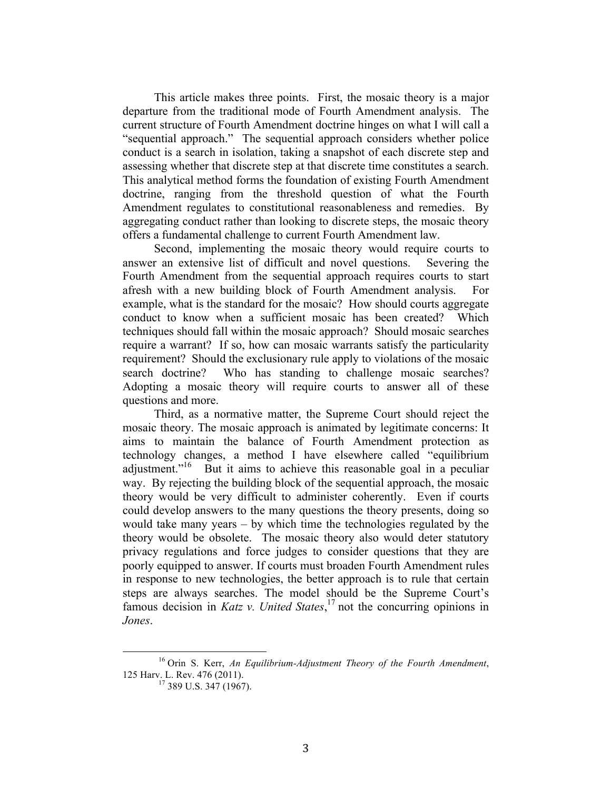This article makes three points. First, the mosaic theory is a major departure from the traditional mode of Fourth Amendment analysis. The current structure of Fourth Amendment doctrine hinges on what I will call a "sequential approach." The sequential approach considers whether police conduct is a search in isolation, taking a snapshot of each discrete step and assessing whether that discrete step at that discrete time constitutes a search. This analytical method forms the foundation of existing Fourth Amendment doctrine, ranging from the threshold question of what the Fourth Amendment regulates to constitutional reasonableness and remedies. By aggregating conduct rather than looking to discrete steps, the mosaic theory offers a fundamental challenge to current Fourth Amendment law.

Second, implementing the mosaic theory would require courts to answer an extensive list of difficult and novel questions. Severing the Fourth Amendment from the sequential approach requires courts to start afresh with a new building block of Fourth Amendment analysis. For example, what is the standard for the mosaic? How should courts aggregate conduct to know when a sufficient mosaic has been created? Which techniques should fall within the mosaic approach? Should mosaic searches require a warrant? If so, how can mosaic warrants satisfy the particularity requirement? Should the exclusionary rule apply to violations of the mosaic search doctrine? Who has standing to challenge mosaic searches? Adopting a mosaic theory will require courts to answer all of these questions and more.

Third, as a normative matter, the Supreme Court should reject the mosaic theory. The mosaic approach is animated by legitimate concerns: It aims to maintain the balance of Fourth Amendment protection as technology changes, a method I have elsewhere called "equilibrium adjustment."<sup>16</sup> But it aims to achieve this reasonable goal in a peculiar way. By rejecting the building block of the sequential approach, the mosaic theory would be very difficult to administer coherently. Even if courts could develop answers to the many questions the theory presents, doing so would take many years – by which time the technologies regulated by the theory would be obsolete. The mosaic theory also would deter statutory privacy regulations and force judges to consider questions that they are poorly equipped to answer. If courts must broaden Fourth Amendment rules in response to new technologies, the better approach is to rule that certain steps are always searches. The model should be the Supreme Court's famous decision in *Katz v. United States*, <sup>17</sup> not the concurring opinions in *Jones*.

<sup>&</sup>lt;sup>16</sup> Orin S. Kerr, *An Equilibrium-Adjustment Theory of the Fourth Amendment*, 125 Harv. L. Rev. 476 (2011).

 $17$  389 U.S. 347 (1967).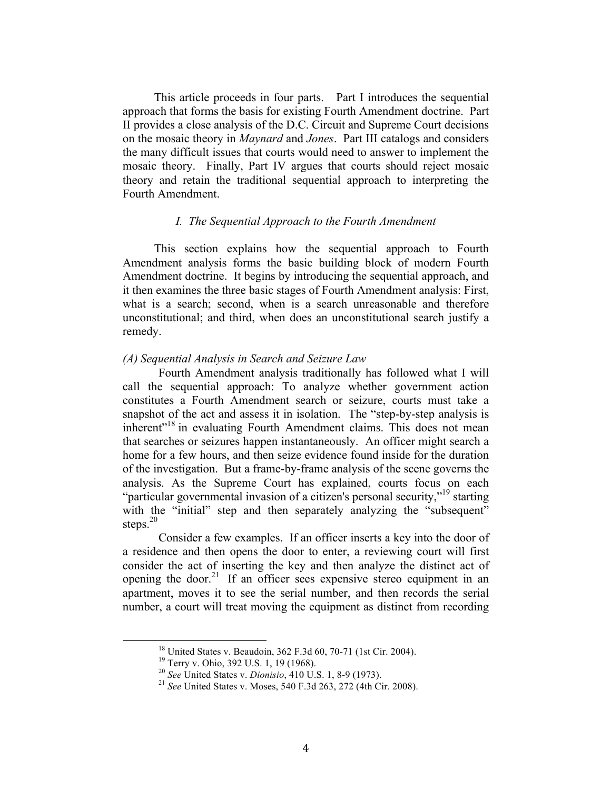This article proceeds in four parts. Part I introduces the sequential approach that forms the basis for existing Fourth Amendment doctrine. Part II provides a close analysis of the D.C. Circuit and Supreme Court decisions on the mosaic theory in *Maynard* and *Jones*. Part III catalogs and considers the many difficult issues that courts would need to answer to implement the mosaic theory. Finally, Part IV argues that courts should reject mosaic theory and retain the traditional sequential approach to interpreting the Fourth Amendment.

### *I. The Sequential Approach to the Fourth Amendment*

This section explains how the sequential approach to Fourth Amendment analysis forms the basic building block of modern Fourth Amendment doctrine. It begins by introducing the sequential approach, and it then examines the three basic stages of Fourth Amendment analysis: First, what is a search; second, when is a search unreasonable and therefore unconstitutional; and third, when does an unconstitutional search justify a remedy.

#### *(A) Sequential Analysis in Search and Seizure Law*

Fourth Amendment analysis traditionally has followed what I will call the sequential approach: To analyze whether government action constitutes a Fourth Amendment search or seizure, courts must take a snapshot of the act and assess it in isolation. The "step-by-step analysis is inherent<sup>"18</sup> in evaluating Fourth Amendment claims. This does not mean that searches or seizures happen instantaneously. An officer might search a home for a few hours, and then seize evidence found inside for the duration of the investigation. But a frame-by-frame analysis of the scene governs the analysis. As the Supreme Court has explained, courts focus on each "particular governmental invasion of a citizen's personal security,"<sup>19</sup> starting with the "initial" step and then separately analyzing the "subsequent" steps. $20$ 

Consider a few examples. If an officer inserts a key into the door of a residence and then opens the door to enter, a reviewing court will first consider the act of inserting the key and then analyze the distinct act of opening the door.<sup>21</sup> If an officer sees expensive stereo equipment in an apartment, moves it to see the serial number, and then records the serial number, a court will treat moving the equipment as distinct from recording

<sup>&</sup>lt;sup>18</sup> United States v. Beaudoin, 362 F.3d 60, 70-71 (1st Cir. 2004).<br><sup>19</sup> Terry v. Ohio, 392 U.S. 1, 19 (1968).<br><sup>20</sup> *See* United States v. *Dionisio*, 410 U.S. 1, 8-9 (1973).<br><sup>21</sup> *See* United States v. Moses, 540 F.3d 26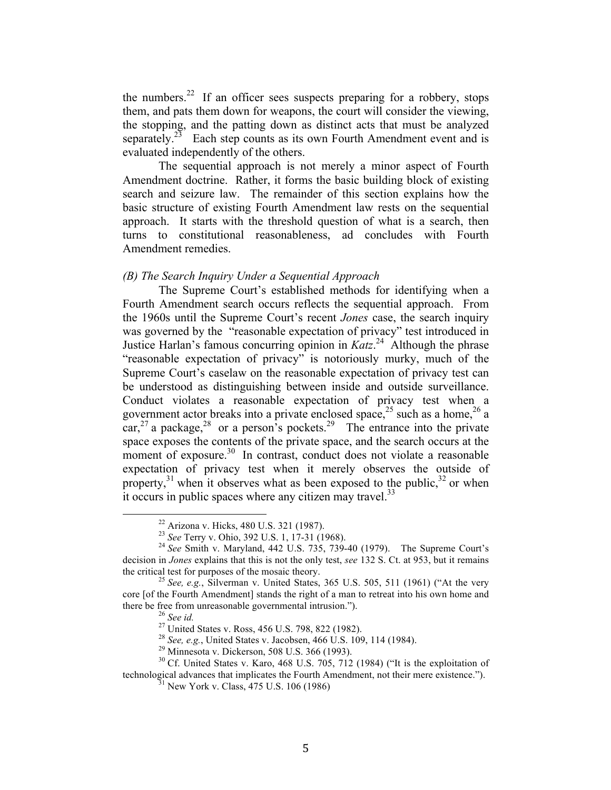the numbers.<sup>22</sup> If an officer sees suspects preparing for a robbery, stops them, and pats them down for weapons, the court will consider the viewing, the stopping, and the patting down as distinct acts that must be analyzed separately.<sup>23</sup> Each step counts as its own Fourth Amendment event and is evaluated independently of the others.

The sequential approach is not merely a minor aspect of Fourth Amendment doctrine. Rather, it forms the basic building block of existing search and seizure law. The remainder of this section explains how the basic structure of existing Fourth Amendment law rests on the sequential approach. It starts with the threshold question of what is a search, then turns to constitutional reasonableness, ad concludes with Fourth Amendment remedies.

#### *(B) The Search Inquiry Under a Sequential Approach*

The Supreme Court's established methods for identifying when a Fourth Amendment search occurs reflects the sequential approach. From the 1960s until the Supreme Court's recent *Jones* case, the search inquiry was governed by the "reasonable expectation of privacy" test introduced in Justice Harlan's famous concurring opinion in *Katz*. <sup>24</sup> Although the phrase "reasonable expectation of privacy" is notoriously murky, much of the Supreme Court's caselaw on the reasonable expectation of privacy test can be understood as distinguishing between inside and outside surveillance. Conduct violates a reasonable expectation of privacy test when a government actor breaks into a private enclosed space,  $2^5$  such as a home,  $2^6$  a car,  $27$  a package,  $28$  or a person's pockets. <sup>29</sup> The entrance into the private space exposes the contents of the private space, and the search occurs at the moment of exposure. $30\,$  In contrast, conduct does not violate a reasonable expectation of privacy test when it merely observes the outside of property,<sup>31</sup> when it observes what as been exposed to the public,  $32$  or when it occurs in public spaces where any citizen may travel.<sup>33</sup>

<sup>&</sup>lt;sup>22</sup> Arizona v. Hicks, 480 U.S. 321 (1987).<br><sup>23</sup> See Terry v. Ohio, 392 U.S. 1, 17-31 (1968).<br><sup>24</sup> See Smith v. Maryland, 442 U.S. 735, 739-40 (1979). The Supreme Court's decision in *Jones* explains that this is not the only test, *see* 132 S. Ct. at 953, but it remains

<sup>&</sup>lt;sup>25</sup> *See, e.g., Silverman v. United States, 365 U.S. 505, 511 (1961)* ("At the very core [of the Fourth Amendment] stands the right of a man to retreat into his own home and there be free from unreasonable governmental intrusion.").<br>
<sup>26</sup> See id.<br>
<sup>27</sup> United States v. Ross, 456 U.S. 798, 822 (1982).<br>
<sup>28</sup> See, e.g., United States v. Jacobsen, 466 U.S. 109, 114 (1984).<br>
<sup>29</sup> Minnesota v. Dick

technological advances that implicates the Fourth Amendment, not their mere existence.").<br><sup>31</sup> New York v. Class, 475 U.S. 106 (1986)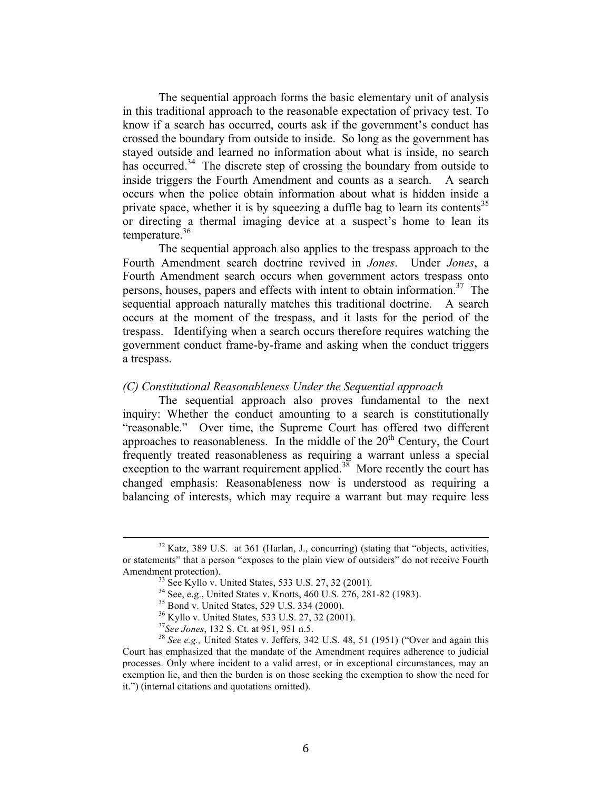The sequential approach forms the basic elementary unit of analysis in this traditional approach to the reasonable expectation of privacy test. To know if a search has occurred, courts ask if the government's conduct has crossed the boundary from outside to inside. So long as the government has stayed outside and learned no information about what is inside, no search has occurred.<sup>34</sup> The discrete step of crossing the boundary from outside to inside triggers the Fourth Amendment and counts as a search. A search occurs when the police obtain information about what is hidden inside a private space, whether it is by squeezing a duffle bag to learn its contents<sup>35</sup> or directing a thermal imaging device at a suspect's home to lean its temperature.<sup>36</sup>

The sequential approach also applies to the trespass approach to the Fourth Amendment search doctrine revived in *Jones*. Under *Jones*, a Fourth Amendment search occurs when government actors trespass onto persons, houses, papers and effects with intent to obtain information.<sup>37</sup> The sequential approach naturally matches this traditional doctrine. A search occurs at the moment of the trespass, and it lasts for the period of the trespass. Identifying when a search occurs therefore requires watching the government conduct frame-by-frame and asking when the conduct triggers a trespass.

## *(C) Constitutional Reasonableness Under the Sequential approach*

The sequential approach also proves fundamental to the next inquiry: Whether the conduct amounting to a search is constitutionally "reasonable." Over time, the Supreme Court has offered two different approaches to reasonableness. In the middle of the  $20<sup>th</sup>$  Century, the Court frequently treated reasonableness as requiring a warrant unless a special exception to the warrant requirement applied.<sup>38</sup> More recently the court has changed emphasis: Reasonableness now is understood as requiring a balancing of interests, which may require a warrant but may require less

<sup>&</sup>lt;sup>32</sup> Katz, 389 U.S. at 361 (Harlan, J., concurring) (stating that "objects, activities, or statements" that a person "exposes to the plain view of outsiders" do not receive Fourth Amendment protection).<br>  $^{33}$  See Kyllo v. United States, 533 U.S. 27, 32 (2001).<br>  $^{34}$  See, e.g., United States v. Knotts, 460 U.S. 276, 281-82 (1983).<br>  $^{35}$  Bond v. United States, 529 U.S. 334 (2000).<br>  $^{36}$  Kyllo

Court has emphasized that the mandate of the Amendment requires adherence to judicial processes. Only where incident to a valid arrest, or in exceptional circumstances, may an exemption lie, and then the burden is on those seeking the exemption to show the need for it.") (internal citations and quotations omitted).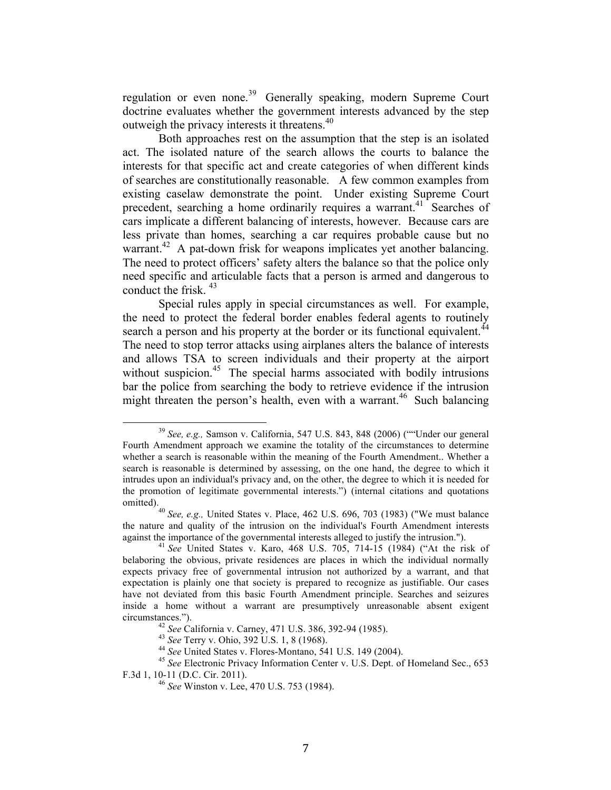regulation or even none.<sup>39</sup> Generally speaking, modern Supreme Court doctrine evaluates whether the government interests advanced by the step outweigh the privacy interests it threatens.<sup>40</sup>

Both approaches rest on the assumption that the step is an isolated act. The isolated nature of the search allows the courts to balance the interests for that specific act and create categories of when different kinds of searches are constitutionally reasonable. A few common examples from existing caselaw demonstrate the point. Under existing Supreme Court precedent, searching a home ordinarily requires a warrant.<sup>41</sup> Searches of cars implicate a different balancing of interests, however. Because cars are less private than homes, searching a car requires probable cause but no warrant.<sup>42</sup> A pat-down frisk for weapons implicates yet another balancing. The need to protect officers' safety alters the balance so that the police only need specific and articulable facts that a person is armed and dangerous to conduct the frisk. 43

Special rules apply in special circumstances as well. For example, the need to protect the federal border enables federal agents to routinely search a person and his property at the border or its functional equivalent.<sup>44</sup> The need to stop terror attacks using airplanes alters the balance of interests and allows TSA to screen individuals and their property at the airport without suspicion.<sup>45</sup> The special harms associated with bodily intrusions bar the police from searching the body to retrieve evidence if the intrusion might threaten the person's health, even with a warrant.<sup>46</sup> Such balancing

<sup>&</sup>lt;sup>39</sup> See, e.g., Samson v. California, 547 U.S. 843, 848 (2006) (""Under our general Fourth Amendment approach we examine the totality of the circumstances to determine whether a search is reasonable within the meaning of the Fourth Amendment.. Whether a search is reasonable is determined by assessing, on the one hand, the degree to which it intrudes upon an individual's privacy and, on the other, the degree to which it is needed for the promotion of legitimate governmental interests.") (internal citations and quotations

<sup>&</sup>lt;sup>40</sup> *See, e.g.,* United States v. Place, 462 U.S. 696, 703 (1983) ("We must balance the nature and quality of the intrusion on the individual's Fourth Amendment interests against the importance of the governmental interests alleged to justify the intrusion.").<br><sup>41</sup> *See* United States v. Karo, 468 U.S. 705, 714-15 (1984) ("At the risk of

belaboring the obvious, private residences are places in which the individual normally expects privacy free of governmental intrusion not authorized by a warrant, and that expectation is plainly one that society is prepared to recognize as justifiable. Our cases have not deviated from this basic Fourth Amendment principle. Searches and seizures inside a home without a warrant are presumptively unreasonable absent exigent circumstances.").<br>
<sup>42</sup> See California v. Carney, 471 U.S. 386, 392-94 (1985).<br>
<sup>43</sup> See Terry v. Ohio, 392 U.S. 1, 8 (1968).<br>
<sup>44</sup> See United States v. Flores-Montano, 541 U.S. 149 (2004).<br>
<sup>45</sup> See Electronic Privacy In

F.3d 1, 10-11 (D.C. Cir. 2011). <sup>46</sup> *See* Winston v. Lee, 470 U.S. 753 (1984).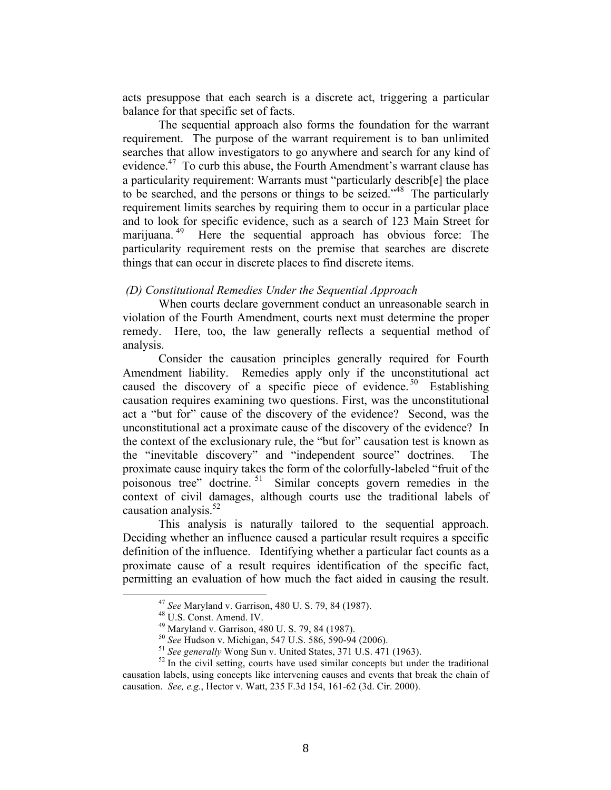acts presuppose that each search is a discrete act, triggering a particular balance for that specific set of facts.

The sequential approach also forms the foundation for the warrant requirement. The purpose of the warrant requirement is to ban unlimited searches that allow investigators to go anywhere and search for any kind of evidence.<sup>47</sup> To curb this abuse, the Fourth Amendment's warrant clause has a particularity requirement: Warrants must "particularly describ[e] the place to be searched, and the persons or things to be seized."48 The particularly requirement limits searches by requiring them to occur in a particular place and to look for specific evidence, such as a search of 123 Main Street for marijuana. 49 Here the sequential approach has obvious force: The particularity requirement rests on the premise that searches are discrete things that can occur in discrete places to find discrete items.

#### *(D) Constitutional Remedies Under the Sequential Approach*

When courts declare government conduct an unreasonable search in violation of the Fourth Amendment, courts next must determine the proper remedy. Here, too, the law generally reflects a sequential method of analysis.

Consider the causation principles generally required for Fourth Amendment liability. Remedies apply only if the unconstitutional act caused the discovery of a specific piece of evidence.<sup>50</sup> Establishing causation requires examining two questions. First, was the unconstitutional act a "but for" cause of the discovery of the evidence? Second, was the unconstitutional act a proximate cause of the discovery of the evidence? In the context of the exclusionary rule, the "but for" causation test is known as the "inevitable discovery" and "independent source" doctrines. The proximate cause inquiry takes the form of the colorfully-labeled "fruit of the poisonous tree" doctrine. 51 Similar concepts govern remedies in the context of civil damages, although courts use the traditional labels of causation analysis. $52$ 

This analysis is naturally tailored to the sequential approach. Deciding whether an influence caused a particular result requires a specific definition of the influence. Identifying whether a particular fact counts as a proximate cause of a result requires identification of the specific fact, permitting an evaluation of how much the fact aided in causing the result.

<sup>&</sup>lt;sup>47</sup> See Maryland v. Garrison, 480 U. S. 79, 84 (1987).<br><sup>48</sup> U.S. Const. Amend. IV.<br><sup>49</sup> Maryland v. Garrison, 480 U. S. 79, 84 (1987).<br><sup>50</sup> See Hudson v. Michigan, 547 U.S. 586, 590-94 (2006).<br><sup>51</sup> See generally Wong Sun causation labels, using concepts like intervening causes and events that break the chain of causation. *See, e.g.*, Hector v. Watt, 235 F.3d 154, 161-62 (3d. Cir. 2000).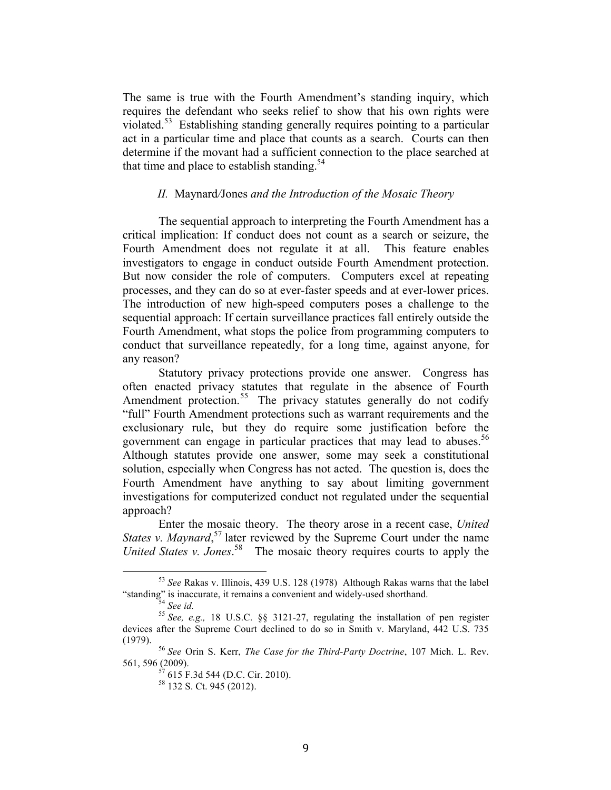The same is true with the Fourth Amendment's standing inquiry, which requires the defendant who seeks relief to show that his own rights were violated.<sup>53</sup> Establishing standing generally requires pointing to a particular act in a particular time and place that counts as a search. Courts can then determine if the movant had a sufficient connection to the place searched at that time and place to establish standing.<sup>54</sup>

## *II.* Maynard*/*Jones *and the Introduction of the Mosaic Theory*

The sequential approach to interpreting the Fourth Amendment has a critical implication: If conduct does not count as a search or seizure, the Fourth Amendment does not regulate it at all. This feature enables investigators to engage in conduct outside Fourth Amendment protection. But now consider the role of computers. Computers excel at repeating processes, and they can do so at ever-faster speeds and at ever-lower prices. The introduction of new high-speed computers poses a challenge to the sequential approach: If certain surveillance practices fall entirely outside the Fourth Amendment, what stops the police from programming computers to conduct that surveillance repeatedly, for a long time, against anyone, for any reason?

Statutory privacy protections provide one answer. Congress has often enacted privacy statutes that regulate in the absence of Fourth Amendment protection.<sup>55</sup> The privacy statutes generally do not codify "full" Fourth Amendment protections such as warrant requirements and the exclusionary rule, but they do require some justification before the government can engage in particular practices that may lead to abuses.<sup>56</sup> Although statutes provide one answer, some may seek a constitutional solution, especially when Congress has not acted. The question is, does the Fourth Amendment have anything to say about limiting government investigations for computerized conduct not regulated under the sequential approach?

Enter the mosaic theory. The theory arose in a recent case, *United States v. Maynard*,<sup>57</sup> later reviewed by the Supreme Court under the name *United States v. Jones*. 58 The mosaic theory requires courts to apply the

<sup>&</sup>lt;sup>53</sup> See Rakas v. Illinois, 439 U.S. 128 (1978) Although Rakas warns that the label "standing" is inaccurate, it remains a convenient and widely-used shorthand. <sup>54</sup> *See id.* <sup>55</sup> *See, e.g.,* 18 U.S.C. §§ 3121-27, regulating the installation of pen register

devices after the Supreme Court declined to do so in Smith v. Maryland, 442 U.S. 735

<sup>&</sup>lt;sup>56</sup> See Orin S. Kerr, *The Case for the Third-Party Doctrine*, 107 Mich. L. Rev. 561, 596 (2009).<br><sup>57</sup> 615 F.3d 544 (D.C. Cir. 2010).<br><sup>58</sup> 132 S. Ct. 945 (2012).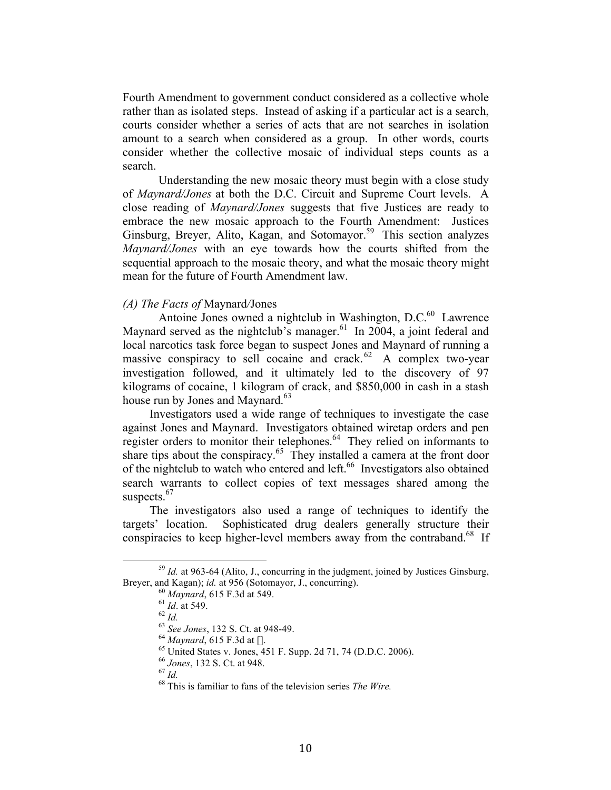Fourth Amendment to government conduct considered as a collective whole rather than as isolated steps. Instead of asking if a particular act is a search, courts consider whether a series of acts that are not searches in isolation amount to a search when considered as a group. In other words, courts consider whether the collective mosaic of individual steps counts as a search.

Understanding the new mosaic theory must begin with a close study of *Maynard/Jones* at both the D.C. Circuit and Supreme Court levels. A close reading of *Maynard/Jones* suggests that five Justices are ready to embrace the new mosaic approach to the Fourth Amendment: Justices Ginsburg, Breyer, Alito, Kagan, and Sotomayor.<sup>59</sup> This section analyzes *Maynard/Jones* with an eye towards how the courts shifted from the sequential approach to the mosaic theory, and what the mosaic theory might mean for the future of Fourth Amendment law.

#### *(A) The Facts of* Maynard*/*Jones

Antoine Jones owned a nightclub in Washington, D.C.<sup>60</sup> Lawrence Maynard served as the nightclub's manager.<sup>61</sup> In 2004, a joint federal and local narcotics task force began to suspect Jones and Maynard of running a massive conspiracy to sell cocaine and crack. $62$  A complex two-year investigation followed, and it ultimately led to the discovery of 97 kilograms of cocaine, 1 kilogram of crack, and \$850,000 in cash in a stash house run by Jones and Maynard.<sup>63</sup>

Investigators used a wide range of techniques to investigate the case against Jones and Maynard. Investigators obtained wiretap orders and pen register orders to monitor their telephones.<sup>64</sup> They relied on informants to share tips about the conspiracy.<sup>65</sup> They installed a camera at the front door of the nightclub to watch who entered and left.<sup>66</sup> Investigators also obtained search warrants to collect copies of text messages shared among the suspects. $67$ 

The investigators also used a range of techniques to identify the targets' location. Sophisticated drug dealers generally structure their conspiracies to keep higher-level members away from the contraband.<sup>68</sup> If

<sup>&</sup>lt;sup>59</sup> *Id.* at 963-64 (Alito, J., concurring in the judgment, joined by Justices Ginsburg, Brever, and Kagan); *id.* at 956 (Sotomayor, J., concurring). Breyer, and Kagan); *id.* at 956 (Sotomayor, J., concurring).<br>
<sup>60</sup> Maynard, 615 F.3d at 549.<br>
<sup>61</sup> *Id.* at 549.<br>
<sup>62</sup> *Id.*<br>
<sup>63</sup> *See Jones*, 132 S. Ct. at 948-49.<br>
<sup>64</sup> Maynard, 615 F.3d at [].<br>
<sup>65</sup> United States v.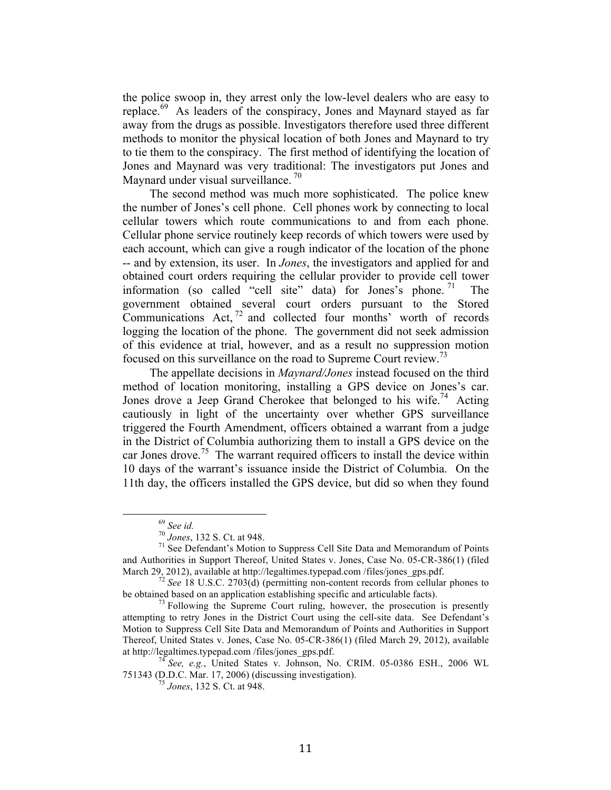the police swoop in, they arrest only the low-level dealers who are easy to replace.69 As leaders of the conspiracy, Jones and Maynard stayed as far away from the drugs as possible. Investigators therefore used three different methods to monitor the physical location of both Jones and Maynard to try to tie them to the conspiracy. The first method of identifying the location of Jones and Maynard was very traditional: The investigators put Jones and Maynard under visual surveillance.<sup>70</sup>

The second method was much more sophisticated. The police knew the number of Jones's cell phone. Cell phones work by connecting to local cellular towers which route communications to and from each phone. Cellular phone service routinely keep records of which towers were used by each account, which can give a rough indicator of the location of the phone -- and by extension, its user. In *Jones*, the investigators and applied for and obtained court orders requiring the cellular provider to provide cell tower information (so called "cell site" data) for Jones's phone. <sup>71</sup> The government obtained several court orders pursuant to the Stored Communications Act,  $^{72}$  and collected four months' worth of records logging the location of the phone. The government did not seek admission of this evidence at trial, however, and as a result no suppression motion focused on this surveillance on the road to Supreme Court review.<sup>73</sup>

The appellate decisions in *Maynard/Jones* instead focused on the third method of location monitoring, installing a GPS device on Jones's car. Jones drove a Jeep Grand Cherokee that belonged to his wife.<sup>74</sup> Acting cautiously in light of the uncertainty over whether GPS surveillance triggered the Fourth Amendment, officers obtained a warrant from a judge in the District of Columbia authorizing them to install a GPS device on the car Jones drove.<sup>75</sup> The warrant required officers to install the device within 10 days of the warrant's issuance inside the District of Columbia. On the 11th day, the officers installed the GPS device, but did so when they found

<sup>&</sup>lt;sup>69</sup> See id.<br><sup>70</sup> Jones, 132 S. Ct. at 948.<br><sup>71</sup> See Defendant's Motion to Suppress Cell Site Data and Memorandum of Points and Authorities in Support Thereof, United States v. Jones, Case No. 05-CR-386(1) (filed March 29, 2012), available at http://legaltimes.typepad.com/files/jones\_gps.pdf.

<sup>&</sup>lt;sup>72</sup> *See* 18 U.S.C. 2703(d) (permitting non-content records from cellular phones to be obtained based on an application establishing specific and articulable facts).

 $^{73}$  Following the Supreme Court ruling, however, the prosecution is presently attempting to retry Jones in the District Court using the cell-site data. See Defendant's Motion to Suppress Cell Site Data and Memorandum of Points and Authorities in Support Thereof, United States v. Jones, Case No. 05-CR-386(1) (filed March 29, 2012), available at http://legaltimes.typepad.com /files/jones\_gps.pdf. <sup>74</sup> *See, e.g.*, United States v. Johnson, No. CRIM. 05-0386 ESH., 2006 WL

<sup>751343 (</sup>D.D.C. Mar. 17, 2006) (discussing investigation). <sup>75</sup> *Jones*, 132 S. Ct. at 948.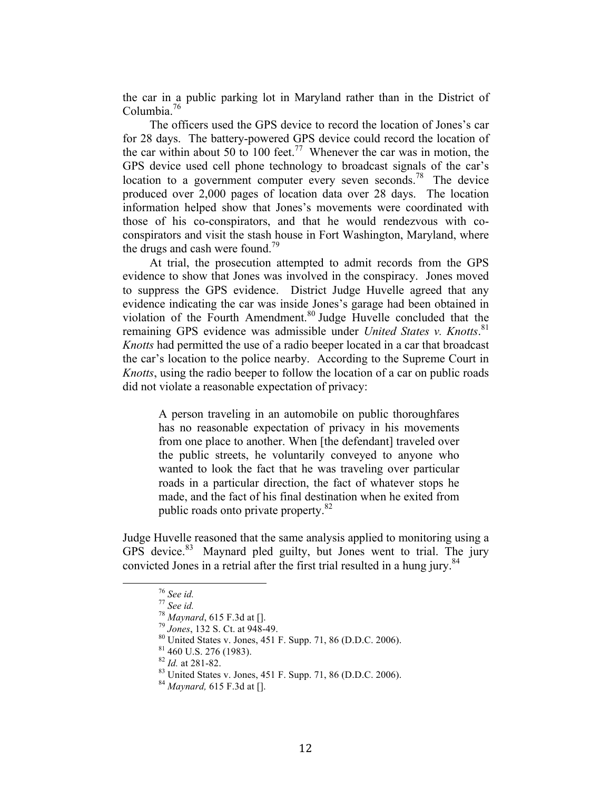the car in a public parking lot in Maryland rather than in the District of Columbia.<sup>76</sup>

The officers used the GPS device to record the location of Jones's car for 28 days. The battery-powered GPS device could record the location of the car within about 50 to 100 feet.<sup>77</sup> Whenever the car was in motion, the GPS device used cell phone technology to broadcast signals of the car's location to a government computer every seven seconds.<sup>78</sup> The device produced over 2,000 pages of location data over 28 days. The location information helped show that Jones's movements were coordinated with those of his co-conspirators, and that he would rendezvous with coconspirators and visit the stash house in Fort Washington, Maryland, where the drugs and cash were found.<sup>79</sup>

At trial, the prosecution attempted to admit records from the GPS evidence to show that Jones was involved in the conspiracy. Jones moved to suppress the GPS evidence. District Judge Huvelle agreed that any evidence indicating the car was inside Jones's garage had been obtained in violation of the Fourth Amendment.<sup>80</sup> Judge Huvelle concluded that the remaining GPS evidence was admissible under *United States v. Knotts*. 81 *Knotts* had permitted the use of a radio beeper located in a car that broadcast the car's location to the police nearby. According to the Supreme Court in *Knotts*, using the radio beeper to follow the location of a car on public roads did not violate a reasonable expectation of privacy:

A person traveling in an automobile on public thoroughfares has no reasonable expectation of privacy in his movements from one place to another. When [the defendant] traveled over the public streets, he voluntarily conveyed to anyone who wanted to look the fact that he was traveling over particular roads in a particular direction, the fact of whatever stops he made, and the fact of his final destination when he exited from public roads onto private property.<sup>82</sup>

Judge Huvelle reasoned that the same analysis applied to monitoring using a GPS device.<sup>83</sup> Maynard pled guilty, but Jones went to trial. The jury convicted Jones in a retrial after the first trial resulted in a hung jury.<sup>84</sup>

<sup>&</sup>lt;sup>76</sup> See id.<br>
<sup>77</sup> See id.<br>
<sup>78</sup> Maynard, 615 F.3d at [].<br>
<sup>79</sup> Jones, 132 S. Ct. at 948-49.<br>
<sup>80</sup> United States v. Jones, 451 F. Supp. 71, 86 (D.D.C. 2006).<br>
<sup>81</sup> 460 U.S. 276 (1983).<br>
<sup>82</sup> Id. at 281-82.<br>
<sup>83</sup> United Sta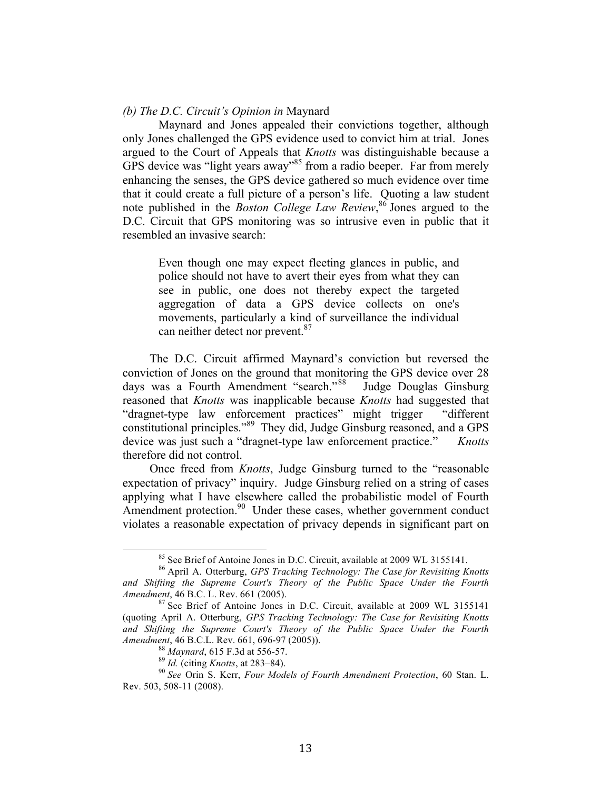#### *(b) The D.C. Circuit's Opinion in* Maynard

Maynard and Jones appealed their convictions together, although only Jones challenged the GPS evidence used to convict him at trial. Jones argued to the Court of Appeals that *Knotts* was distinguishable because a GPS device was "light years away"<sup>85</sup> from a radio beeper. Far from merely enhancing the senses, the GPS device gathered so much evidence over time that it could create a full picture of a person's life. Quoting a law student note published in the *Boston College Law Review*, <sup>86</sup> Jones argued to the D.C. Circuit that GPS monitoring was so intrusive even in public that it resembled an invasive search:

Even though one may expect fleeting glances in public, and police should not have to avert their eyes from what they can see in public, one does not thereby expect the targeted aggregation of data a GPS device collects on one's movements, particularly a kind of surveillance the individual can neither detect nor prevent.<sup>87</sup>

The D.C. Circuit affirmed Maynard's conviction but reversed the conviction of Jones on the ground that monitoring the GPS device over 28 days was a Fourth Amendment "search."<sup>88</sup> Judge Douglas Ginsburg reasoned that *Knotts* was inapplicable because *Knotts* had suggested that "dragnet-type law enforcement practices" might trigger "different constitutional principles."89 They did, Judge Ginsburg reasoned, and a GPS device was just such a "dragnet-type law enforcement practice." *Knotts* therefore did not control.

Once freed from *Knotts*, Judge Ginsburg turned to the "reasonable expectation of privacy" inquiry. Judge Ginsburg relied on a string of cases applying what I have elsewhere called the probabilistic model of Fourth Amendment protection.<sup>90</sup> Under these cases, whether government conduct violates a reasonable expectation of privacy depends in significant part on

<sup>&</sup>lt;sup>85</sup> See Brief of Antoine Jones in D.C. Circuit, available at 2009 WL 3155141.<br><sup>86</sup> April A. Otterburg, *GPS Tracking Technology: The Case for Revisiting Knotts* 

and Shifting the Supreme Court's Theory of the Public Space Under the Fourth *Amendment*, 46 B.C. L. Rev. 661 (2005).

<sup>&</sup>lt;sup>87</sup> See Brief of Antoine Jones in D.C. Circuit, available at 2009 WL 3155141 (quoting April A. Otterburg, *GPS Tracking Technology: The Case for Revisiting Knotts and Shifting the Supreme Court's Theory of the Public Space Under the Fourth*  Amendment, 46 B.C.L. Rev. 661, 696-97 (2005)).<br><sup>88</sup> Maynard, 615 F.3d at 556-57.<br><sup>89</sup> Id. (citing Knotts, at 283–84).<br><sup>90</sup> See Orin S. Kerr, *Four Models of Fourth Amendment Protection*, 60 Stan. L.

Rev. 503, 508-11 (2008).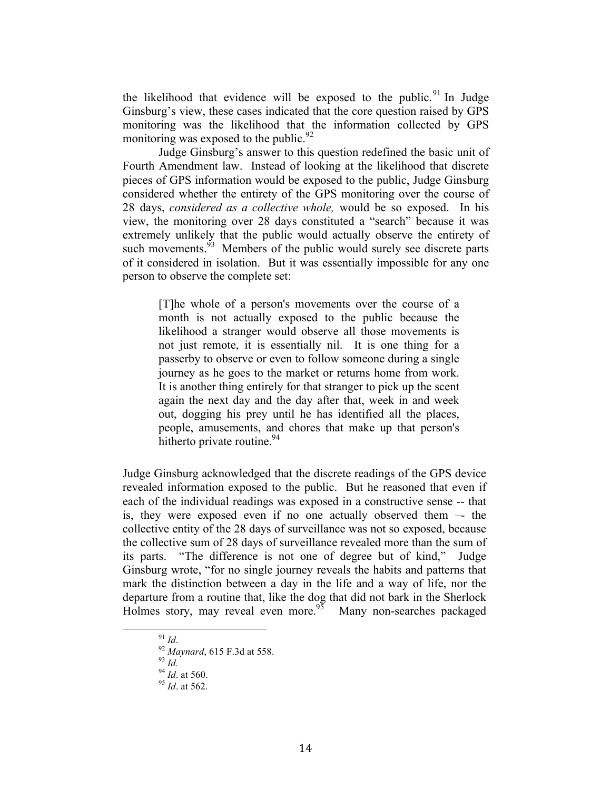the likelihood that evidence will be exposed to the public.<sup>91</sup> In Judge Ginsburg's view, these cases indicated that the core question raised by GPS monitoring was the likelihood that the information collected by GPS monitoring was exposed to the public.<sup>92</sup>

Judge Ginsburg's answer to this question redefined the basic unit of Fourth Amendment law. Instead of looking at the likelihood that discrete pieces of GPS information would be exposed to the public, Judge Ginsburg considered whether the entirety of the GPS monitoring over the course of 28 days, *considered as a collective whole,* would be so exposed. In his view, the monitoring over 28 days constituted a "search" because it was extremely unlikely that the public would actually observe the entirety of such movements.<sup>93</sup> Members of the public would surely see discrete parts of it considered in isolation. But it was essentially impossible for any one person to observe the complete set:

[T]he whole of a person's movements over the course of a month is not actually exposed to the public because the likelihood a stranger would observe all those movements is not just remote, it is essentially nil. It is one thing for a passerby to observe or even to follow someone during a single journey as he goes to the market or returns home from work. It is another thing entirely for that stranger to pick up the scent again the next day and the day after that, week in and week out, dogging his prey until he has identified all the places, people, amusements, and chores that make up that person's hitherto private routine.  $94$ 

Judge Ginsburg acknowledged that the discrete readings of the GPS device revealed information exposed to the public. But he reasoned that even if each of the individual readings was exposed in a constructive sense -- that is, they were exposed even if no one actually observed them –- the collective entity of the 28 days of surveillance was not so exposed, because the collective sum of 28 days of surveillance revealed more than the sum of its parts. "The difference is not one of degree but of kind," Judge Ginsburg wrote, "for no single journey reveals the habits and patterns that mark the distinction between a day in the life and a way of life, nor the departure from a routine that, like the dog that did not bark in the Sherlock Holmes story, may reveal even more.<sup>95</sup> Many non-searches packaged

<sup>91</sup> *Id.*<br>
92 *Maynard*, 615 F.3d at 558.<br>
93 *Id.*<br>
94 *Id.* at 560. 95 *Id.* at 562.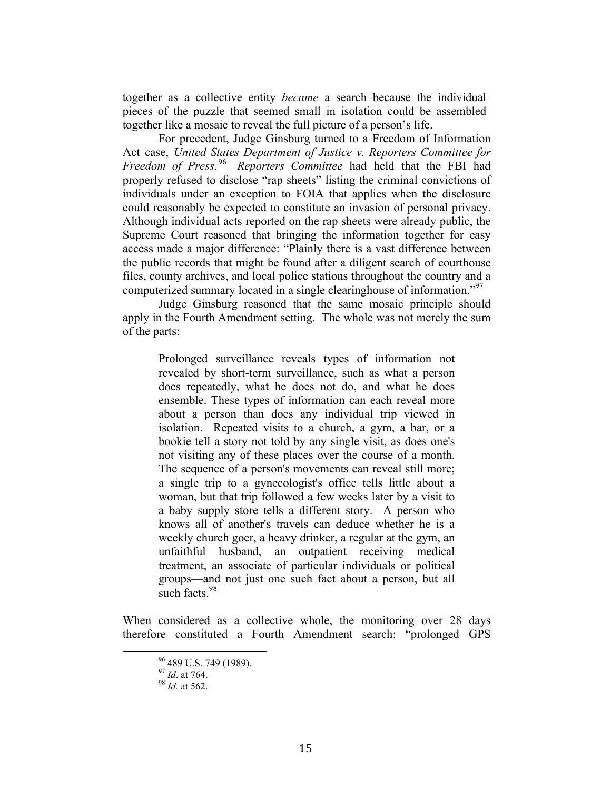together as a collective entity *became* a search because the individual pieces of the puzzle that seemed small in isolation could be assembled together like a mosaic to reveal the full picture of a person's life.

For precedent, Judge Ginsburg turned to a Freedom of Information Act case, *United States Department of Justice v. Reporters Committee for Freedom of Press*. 96 *Reporters Committee* had held that the FBI had properly refused to disclose "rap sheets" listing the criminal convictions of individuals under an exception to FOIA that applies when the disclosure could reasonably be expected to constitute an invasion of personal privacy. Although individual acts reported on the rap sheets were already public, the Supreme Court reasoned that bringing the information together for easy access made a major difference: "Plainly there is a vast difference between the public records that might be found after a diligent search of courthouse files, county archives, and local police stations throughout the country and a computerized summary located in a single clearinghouse of information.<sup>"97</sup>

Judge Ginsburg reasoned that the same mosaic principle should apply in the Fourth Amendment setting. The whole was not merely the sum of the parts:

Prolonged surveillance reveals types of information not revealed by short-term surveillance, such as what a person does repeatedly, what he does not do, and what he does ensemble. These types of information can each reveal more about a person than does any individual trip viewed in isolation. Repeated visits to a church, a gym, a bar, or a bookie tell a story not told by any single visit, as does one's not visiting any of these places over the course of a month. The sequence of a person's movements can reveal still more; a single trip to a gynecologist's office tells little about a woman, but that trip followed a few weeks later by a visit to a baby supply store tells a different story. A person who knows all of another's travels can deduce whether he is a weekly church goer, a heavy drinker, a regular at the gym, an unfaithful husband, an outpatient receiving medical treatment, an associate of particular individuals or political groups—and not just one such fact about a person, but all such facts  $98$ 

When considered as a collective whole, the monitoring over 28 days therefore constituted a Fourth Amendment search: "prolonged GPS

<sup>% 489</sup> U.S. 749 (1989).<br><sup>97</sup> *Id.* at 764. 98 *Id.* at 562.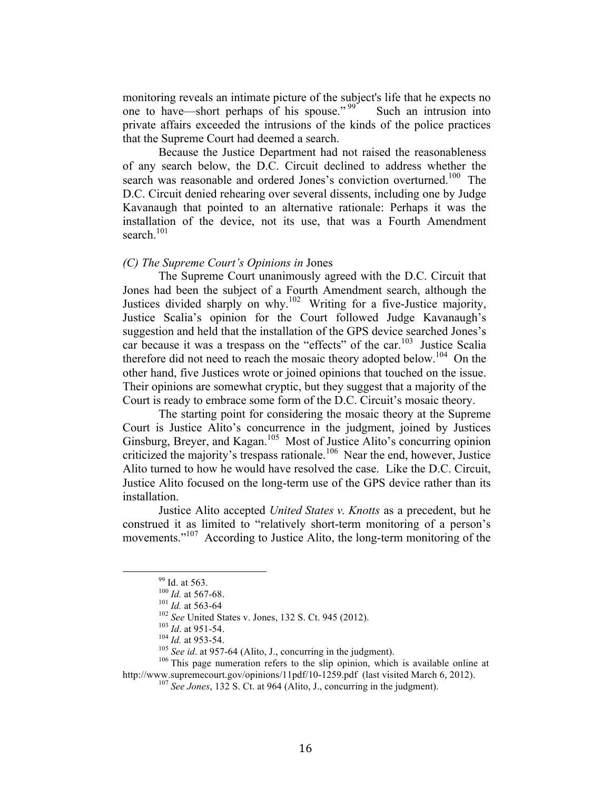monitoring reveals an intimate picture of the subject's life that he expects no one to have—short perhaps of his spouse."<sup>99</sup> Such an intrusion into private affairs exceeded the intrusions of the kinds of the police practices that the Supreme Court had deemed a search.

Because the Justice Department had not raised the reasonableness of any search below, the D.C. Circuit declined to address whether the search was reasonable and ordered Jones's conviction overturned.<sup>100</sup> The D.C. Circuit denied rehearing over several dissents, including one by Judge Kavanaugh that pointed to an alternative rationale: Perhaps it was the installation of the device, not its use, that was a Fourth Amendment search $101$ 

#### *(C) The Supreme Court's Opinions in* Jones

The Supreme Court unanimously agreed with the D.C. Circuit that Jones had been the subject of a Fourth Amendment search, although the Justices divided sharply on why.102 Writing for a five-Justice majority, Justice Scalia's opinion for the Court followed Judge Kavanaugh's suggestion and held that the installation of the GPS device searched Jones's car because it was a trespass on the "effects" of the car.<sup>103</sup> Justice Scalia therefore did not need to reach the mosaic theory adopted below.<sup>104</sup> On the other hand, five Justices wrote or joined opinions that touched on the issue. Their opinions are somewhat cryptic, but they suggest that a majority of the Court is ready to embrace some form of the D.C. Circuit's mosaic theory.

The starting point for considering the mosaic theory at the Supreme Court is Justice Alito's concurrence in the judgment, joined by Justices Ginsburg, Breyer, and Kagan.<sup>105</sup> Most of Justice Alito's concurring opinion criticized the majority's trespass rationale.<sup>106</sup> Near the end, however, Justice Alito turned to how he would have resolved the case. Like the D.C. Circuit, Justice Alito focused on the long-term use of the GPS device rather than its installation.

Justice Alito accepted *United States v. Knotts* as a precedent, but he construed it as limited to "relatively short-term monitoring of a person's movements."<sup>107</sup> According to Justice Alito, the long-term monitoring of the

<sup>&</sup>lt;sup>99</sup> Id. at 563.<br><sup>100</sup> *Id.* at 567-68.<br><sup>101</sup> *Id.* at 563-64<br><sup>102</sup> *See* United States v. Jones, 132 S. Ct. 945 (2012).<br><sup>103</sup> *Id.* at 951-54.<br><sup>104</sup> *Id.* at 953-54.<br><sup>105</sup> *See id.* at 957-64 (Alito, J., concurring in th http://www.supremecourt.gov/opinions/11pdf/10-1259.pdf (last visited March 6, 2012).<br><sup>107</sup> *See Jones*, 132 S. Ct. at 964 (Alito, J., concurring in the judgment).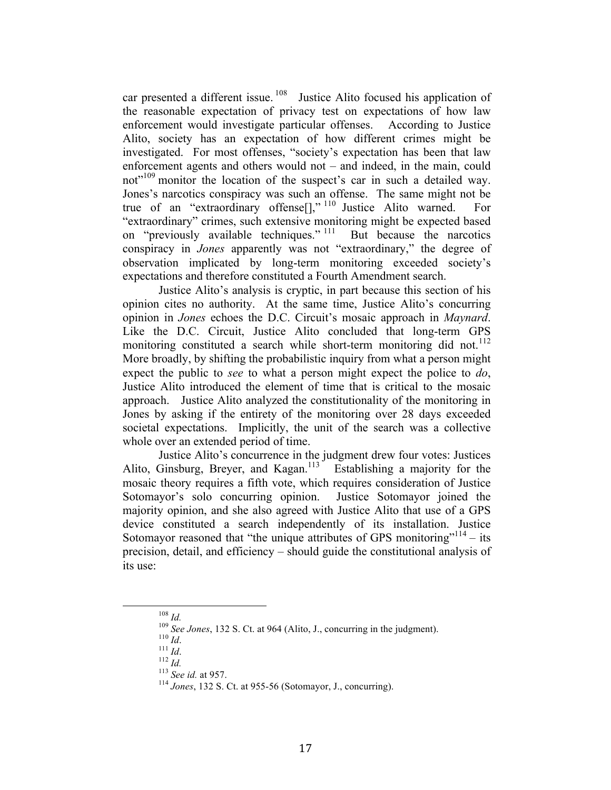car presented a different issue.  $108$  Justice Alito focused his application of the reasonable expectation of privacy test on expectations of how law enforcement would investigate particular offenses. According to Justice Alito, society has an expectation of how different crimes might be investigated. For most offenses, "society's expectation has been that law enforcement agents and others would not – and indeed, in the main, could not<sup>"109</sup> monitor the location of the suspect's car in such a detailed way. Jones's narcotics conspiracy was such an offense. The same might not be true of an "extraordinary offense[]," <sup>110</sup> Justice Alito warned. For "extraordinary" crimes, such extensive monitoring might be expected based on "previously available techniques." <sup>111</sup> But because the narcotics conspiracy in *Jones* apparently was not "extraordinary," the degree of observation implicated by long-term monitoring exceeded society's expectations and therefore constituted a Fourth Amendment search.

Justice Alito's analysis is cryptic, in part because this section of his opinion cites no authority. At the same time, Justice Alito's concurring opinion in *Jones* echoes the D.C. Circuit's mosaic approach in *Maynard*. Like the D.C. Circuit, Justice Alito concluded that long-term GPS monitoring constituted a search while short-term monitoring did not.<sup>112</sup> More broadly, by shifting the probabilistic inquiry from what a person might expect the public to *see* to what a person might expect the police to *do*, Justice Alito introduced the element of time that is critical to the mosaic approach. Justice Alito analyzed the constitutionality of the monitoring in Jones by asking if the entirety of the monitoring over 28 days exceeded societal expectations. Implicitly, the unit of the search was a collective whole over an extended period of time.

Justice Alito's concurrence in the judgment drew four votes: Justices Alito, Ginsburg, Breyer, and Kagan.<sup>113</sup> Establishing a majority for the mosaic theory requires a fifth vote, which requires consideration of Justice Sotomayor's solo concurring opinion. Justice Sotomayor joined the majority opinion, and she also agreed with Justice Alito that use of a GPS device constituted a search independently of its installation. Justice Sotomayor reasoned that "the unique attributes of GPS monitoring"<sup>114</sup> – its precision, detail, and efficiency – should guide the constitutional analysis of its use:

<sup>&</sup>lt;sup>109</sup> *Id.*<br><sup>109</sup> *See Jones*, 132 S. Ct. at 964 (Alito, J., concurring in the judgment).<br><sup>110</sup> *Id.*<br><sup>111</sup> *Id.*<br><sup>112</sup> *Id.*<br><sup>113</sup> *See id.* at 957.<br><sup>113</sup> *Jones*, 132 S. Ct. at 955-56 (Sotomayor, J., concurring).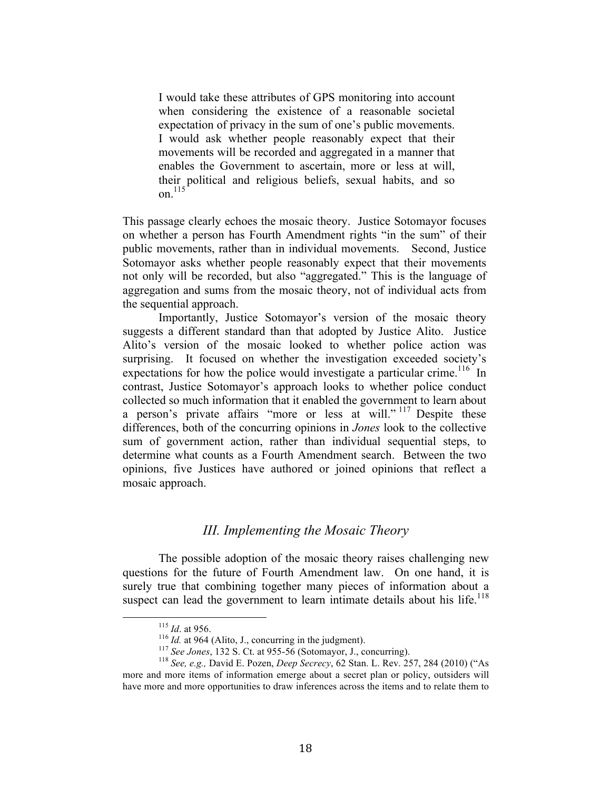I would take these attributes of GPS monitoring into account when considering the existence of a reasonable societal expectation of privacy in the sum of one's public movements. I would ask whether people reasonably expect that their movements will be recorded and aggregated in a manner that enables the Government to ascertain, more or less at will, their political and religious beliefs, sexual habits, and so on.<sup>115</sup>

This passage clearly echoes the mosaic theory. Justice Sotomayor focuses on whether a person has Fourth Amendment rights "in the sum" of their public movements, rather than in individual movements. Second, Justice Sotomayor asks whether people reasonably expect that their movements not only will be recorded, but also "aggregated." This is the language of aggregation and sums from the mosaic theory, not of individual acts from the sequential approach.

Importantly, Justice Sotomayor's version of the mosaic theory suggests a different standard than that adopted by Justice Alito. Justice Alito's version of the mosaic looked to whether police action was surprising. It focused on whether the investigation exceeded society's expectations for how the police would investigate a particular crime.<sup>116</sup> In contrast, Justice Sotomayor's approach looks to whether police conduct collected so much information that it enabled the government to learn about a person's private affairs "more or less at will." <sup>117</sup> Despite these differences, both of the concurring opinions in *Jones* look to the collective sum of government action, rather than individual sequential steps, to determine what counts as a Fourth Amendment search. Between the two opinions, five Justices have authored or joined opinions that reflect a mosaic approach.

## *III. Implementing the Mosaic Theory*

The possible adoption of the mosaic theory raises challenging new questions for the future of Fourth Amendment law. On one hand, it is surely true that combining together many pieces of information about a suspect can lead the government to learn intimate details about his life.<sup>118</sup>

<sup>&</sup>lt;sup>115</sup> *Id.* at 956.<br><sup>116</sup> *Id.* at 964 (Alito, J., concurring in the judgment).<br><sup>117</sup> *See Jones*, 132 S. Ct. at 955-56 (Sotomayor, J., concurring).<br><sup>118</sup> *See, e.g., David E. Pozen, Deep Secrecy, 62 Stan. L. Rev. 257, 28* more and more items of information emerge about a secret plan or policy, outsiders will have more and more opportunities to draw inferences across the items and to relate them to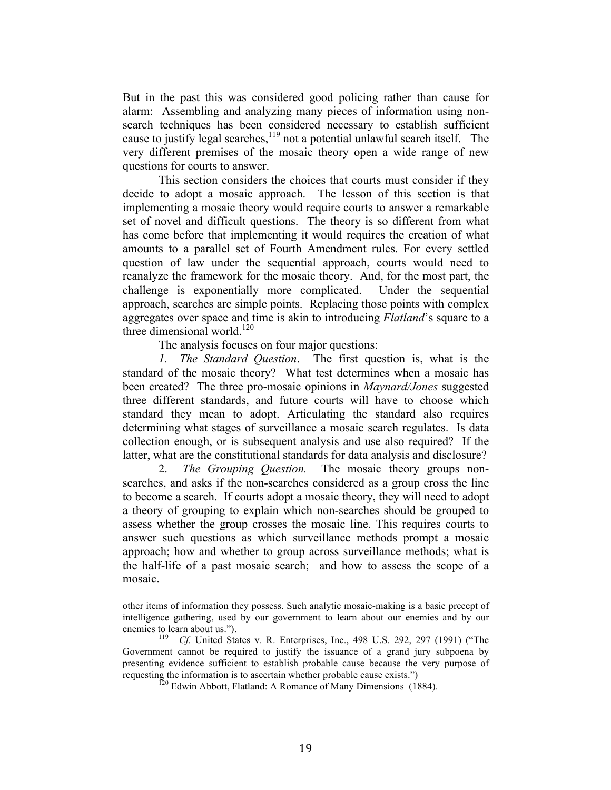But in the past this was considered good policing rather than cause for alarm: Assembling and analyzing many pieces of information using nonsearch techniques has been considered necessary to establish sufficient cause to justify legal searches,<sup>119</sup> not a potential unlawful search itself. The very different premises of the mosaic theory open a wide range of new questions for courts to answer.

This section considers the choices that courts must consider if they decide to adopt a mosaic approach. The lesson of this section is that implementing a mosaic theory would require courts to answer a remarkable set of novel and difficult questions. The theory is so different from what has come before that implementing it would requires the creation of what amounts to a parallel set of Fourth Amendment rules. For every settled question of law under the sequential approach, courts would need to reanalyze the framework for the mosaic theory. And, for the most part, the challenge is exponentially more complicated. Under the sequential approach, searches are simple points. Replacing those points with complex aggregates over space and time is akin to introducing *Flatland*'s square to a three dimensional world. $120$ 

The analysis focuses on four major questions:

*1. The Standard Question*. The first question is, what is the standard of the mosaic theory? What test determines when a mosaic has been created? The three pro-mosaic opinions in *Maynard/Jones* suggested three different standards, and future courts will have to choose which standard they mean to adopt. Articulating the standard also requires determining what stages of surveillance a mosaic search regulates. Is data collection enough, or is subsequent analysis and use also required? If the latter, what are the constitutional standards for data analysis and disclosure?

2. *The Grouping Question.* The mosaic theory groups nonsearches, and asks if the non-searches considered as a group cross the line to become a search. If courts adopt a mosaic theory, they will need to adopt a theory of grouping to explain which non-searches should be grouped to assess whether the group crosses the mosaic line. This requires courts to answer such questions as which surveillance methods prompt a mosaic approach; how and whether to group across surveillance methods; what is the half-life of a past mosaic search; and how to assess the scope of a mosaic.

!!!!!!!!!!!!!!!!!!!!!!!!!!!!!!!!!!!!!!!!!!!!!!!!!!!!!!!!!!!!!!!!!!!!!!!!!!!!!!!!!!!!!!!!!!!!!!!!!!!!!!!!!!!!!!!!!!!!!!!!!!!!!!!!!!!!!!!!!!!!

other items of information they possess. Such analytic mosaic-making is a basic precept of intelligence gathering, used by our government to learn about our enemies and by our enemies to learn about us.").<br><sup>119</sup> Cf. United States v. R. Enterprises, Inc., 498 U.S. 292, 297 (1991) ("The

Government cannot be required to justify the issuance of a grand jury subpoena by presenting evidence sufficient to establish probable cause because the very purpose of requesting the information is to ascertain whether probable cause exists.")

 $r_{20}$  Edwin Abbott, Flatland: A Romance of Many Dimensions (1884).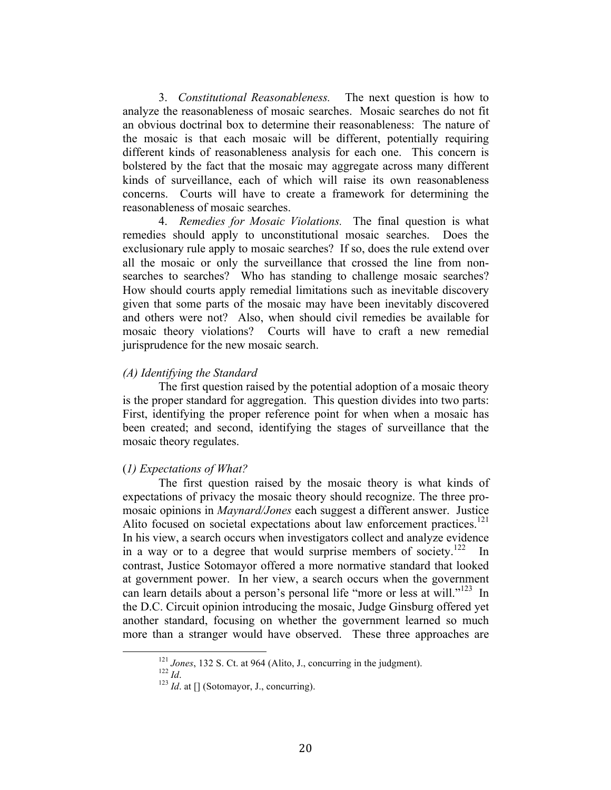3. *Constitutional Reasonableness.* The next question is how to analyze the reasonableness of mosaic searches. Mosaic searches do not fit an obvious doctrinal box to determine their reasonableness: The nature of the mosaic is that each mosaic will be different, potentially requiring different kinds of reasonableness analysis for each one. This concern is bolstered by the fact that the mosaic may aggregate across many different kinds of surveillance, each of which will raise its own reasonableness concerns. Courts will have to create a framework for determining the reasonableness of mosaic searches.

4. *Remedies for Mosaic Violations.* The final question is what remedies should apply to unconstitutional mosaic searches. Does the exclusionary rule apply to mosaic searches? If so, does the rule extend over all the mosaic or only the surveillance that crossed the line from nonsearches to searches? Who has standing to challenge mosaic searches? How should courts apply remedial limitations such as inevitable discovery given that some parts of the mosaic may have been inevitably discovered and others were not? Also, when should civil remedies be available for mosaic theory violations? Courts will have to craft a new remedial jurisprudence for the new mosaic search.

#### *(A) Identifying the Standard*

The first question raised by the potential adoption of a mosaic theory is the proper standard for aggregation. This question divides into two parts: First, identifying the proper reference point for when when a mosaic has been created; and second, identifying the stages of surveillance that the mosaic theory regulates.

#### (*1) Expectations of What?*

The first question raised by the mosaic theory is what kinds of expectations of privacy the mosaic theory should recognize. The three promosaic opinions in *Maynard/Jones* each suggest a different answer. Justice Alito focused on societal expectations about law enforcement practices.<sup>121</sup> In his view, a search occurs when investigators collect and analyze evidence in a way or to a degree that would surprise members of society.<sup>122</sup> In contrast, Justice Sotomayor offered a more normative standard that looked at government power. In her view, a search occurs when the government can learn details about a person's personal life "more or less at will."<sup>123</sup> In the D.C. Circuit opinion introducing the mosaic, Judge Ginsburg offered yet another standard, focusing on whether the government learned so much more than a stranger would have observed. These three approaches are

<sup>&</sup>lt;sup>121</sup> Jones, 132 S. Ct. at 964 (Alito, J., concurring in the judgment). <sup>122</sup> *Id.* at [] (Sotomayor, J., concurring).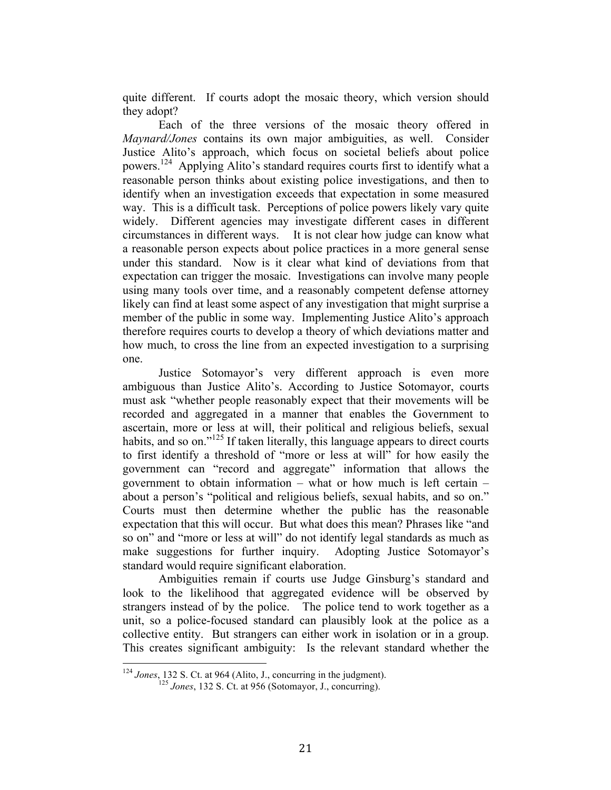quite different. If courts adopt the mosaic theory, which version should they adopt?

Each of the three versions of the mosaic theory offered in *Maynard/Jones* contains its own major ambiguities, as well. Consider Justice Alito's approach, which focus on societal beliefs about police powers. <sup>124</sup> Applying Alito's standard requires courts first to identify what a reasonable person thinks about existing police investigations, and then to identify when an investigation exceeds that expectation in some measured way. This is a difficult task. Perceptions of police powers likely vary quite widely. Different agencies may investigate different cases in different circumstances in different ways. It is not clear how judge can know what a reasonable person expects about police practices in a more general sense under this standard. Now is it clear what kind of deviations from that expectation can trigger the mosaic. Investigations can involve many people using many tools over time, and a reasonably competent defense attorney likely can find at least some aspect of any investigation that might surprise a member of the public in some way. Implementing Justice Alito's approach therefore requires courts to develop a theory of which deviations matter and how much, to cross the line from an expected investigation to a surprising one.

Justice Sotomayor's very different approach is even more ambiguous than Justice Alito's. According to Justice Sotomayor, courts must ask "whether people reasonably expect that their movements will be recorded and aggregated in a manner that enables the Government to ascertain, more or less at will, their political and religious beliefs, sexual habits, and so on."<sup>125</sup> If taken literally, this language appears to direct courts to first identify a threshold of "more or less at will" for how easily the government can "record and aggregate" information that allows the government to obtain information – what or how much is left certain – about a person's "political and religious beliefs, sexual habits, and so on." Courts must then determine whether the public has the reasonable expectation that this will occur. But what does this mean? Phrases like "and so on" and "more or less at will" do not identify legal standards as much as make suggestions for further inquiry. Adopting Justice Sotomayor's standard would require significant elaboration.

Ambiguities remain if courts use Judge Ginsburg's standard and look to the likelihood that aggregated evidence will be observed by strangers instead of by the police. The police tend to work together as a unit, so a police-focused standard can plausibly look at the police as a collective entity. But strangers can either work in isolation or in a group. This creates significant ambiguity: Is the relevant standard whether the

<sup>&</sup>lt;sup>124</sup> Jones, 132 S. Ct. at 964 (Alito, J., concurring in the judgment).<br><sup>125</sup> Jones, 132 S. Ct. at 956 (Sotomayor, J., concurring).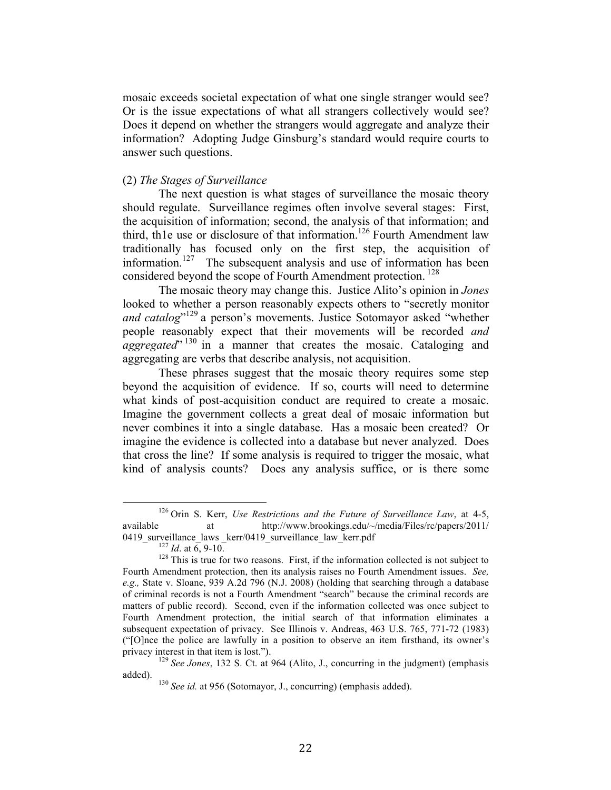mosaic exceeds societal expectation of what one single stranger would see? Or is the issue expectations of what all strangers collectively would see? Does it depend on whether the strangers would aggregate and analyze their information? Adopting Judge Ginsburg's standard would require courts to answer such questions.

## (2) *The Stages of Surveillance*

The next question is what stages of surveillance the mosaic theory should regulate. Surveillance regimes often involve several stages: First, the acquisition of information; second, the analysis of that information; and third, th1e use or disclosure of that information.<sup>126</sup> Fourth Amendment law traditionally has focused only on the first step, the acquisition of information. 127 The subsequent analysis and use of information has been considered beyond the scope of Fourth Amendment protection.<sup>128</sup>

The mosaic theory may change this. Justice Alito's opinion in *Jones* looked to whether a person reasonably expects others to "secretly monitor and catalog"<sup>129</sup> a person's movements. Justice Sotomayor asked "whether people reasonably expect that their movements will be recorded *and aggregated*"<sup>130</sup> in a manner that creates the mosaic. Cataloging and aggregating are verbs that describe analysis, not acquisition.

These phrases suggest that the mosaic theory requires some step beyond the acquisition of evidence. If so, courts will need to determine what kinds of post-acquisition conduct are required to create a mosaic. Imagine the government collects a great deal of mosaic information but never combines it into a single database. Has a mosaic been created? Or imagine the evidence is collected into a database but never analyzed. Does that cross the line? If some analysis is required to trigger the mosaic, what kind of analysis counts? Does any analysis suffice, or is there some

<sup>&</sup>lt;sup>126</sup> Orin S. Kerr, *Use Restrictions and the Future of Surveillance Law*, at 4-5, available at http://www.brookings.edu/~/media/Files/rc/papers/2011/<br>0419 surveillance laws kerr/0419 surveillance law kerr.pdf

<sup>&</sup>lt;sup>127</sup> *Id.* at  $\overline{6}$ , 9-10. <sup>128</sup> This is true for two reasons. First, if the information collected is not subject to Fourth Amendment protection, then its analysis raises no Fourth Amendment issues. *See, e.g.,* State v. Sloane, 939 A.2d 796 (N.J. 2008) (holding that searching through a database of criminal records is not a Fourth Amendment "search" because the criminal records are matters of public record). Second, even if the information collected was once subject to Fourth Amendment protection, the initial search of that information eliminates a subsequent expectation of privacy. See Illinois v. Andreas, 463 U.S. 765, 771-72 (1983) ("[O]nce the police are lawfully in a position to observe an item firsthand, its owner's privacy interest in that item is lost.").<br><sup>129</sup> *See Jones*, 132 S. Ct. at 964 (Alito, J., concurring in the judgment) (emphasis

added). <sup>130</sup> *See id.* at 956 (Sotomayor, J., concurring) (emphasis added).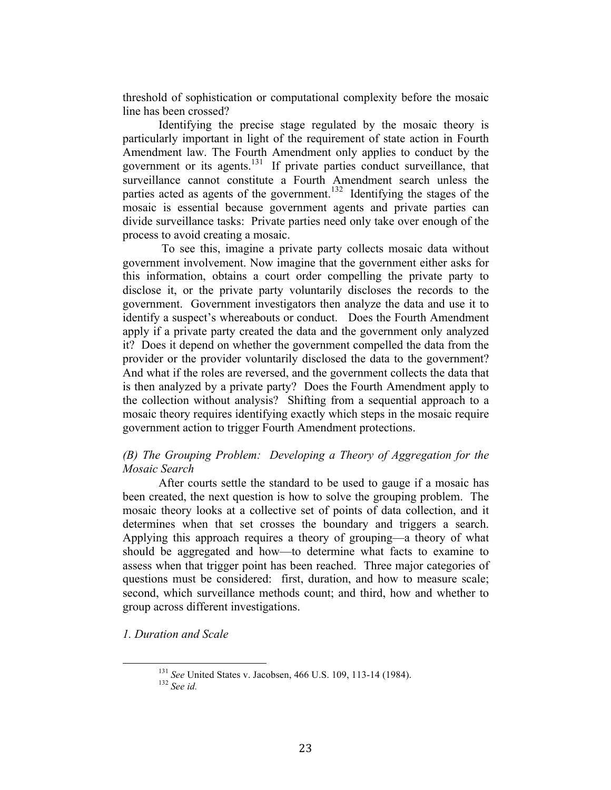threshold of sophistication or computational complexity before the mosaic line has been crossed?

Identifying the precise stage regulated by the mosaic theory is particularly important in light of the requirement of state action in Fourth Amendment law. The Fourth Amendment only applies to conduct by the government or its agents. $131$  If private parties conduct surveillance, that surveillance cannot constitute a Fourth Amendment search unless the parties acted as agents of the government.<sup>132</sup> Identifying the stages of the mosaic is essential because government agents and private parties can divide surveillance tasks: Private parties need only take over enough of the process to avoid creating a mosaic.

To see this, imagine a private party collects mosaic data without government involvement. Now imagine that the government either asks for this information, obtains a court order compelling the private party to disclose it, or the private party voluntarily discloses the records to the government. Government investigators then analyze the data and use it to identify a suspect's whereabouts or conduct. Does the Fourth Amendment apply if a private party created the data and the government only analyzed it? Does it depend on whether the government compelled the data from the provider or the provider voluntarily disclosed the data to the government? And what if the roles are reversed, and the government collects the data that is then analyzed by a private party? Does the Fourth Amendment apply to the collection without analysis? Shifting from a sequential approach to a mosaic theory requires identifying exactly which steps in the mosaic require government action to trigger Fourth Amendment protections.

## *(B) The Grouping Problem: Developing a Theory of Aggregation for the Mosaic Search*

After courts settle the standard to be used to gauge if a mosaic has been created, the next question is how to solve the grouping problem. The mosaic theory looks at a collective set of points of data collection, and it determines when that set crosses the boundary and triggers a search. Applying this approach requires a theory of grouping—a theory of what should be aggregated and how—to determine what facts to examine to assess when that trigger point has been reached. Three major categories of questions must be considered: first, duration, and how to measure scale; second, which surveillance methods count; and third, how and whether to group across different investigations.

*1. Duration and Scale*

<sup>&</sup>lt;sup>131</sup> See United States v. Jacobsen, 466 U.S. 109, 113-14 (1984).<br><sup>132</sup> See id.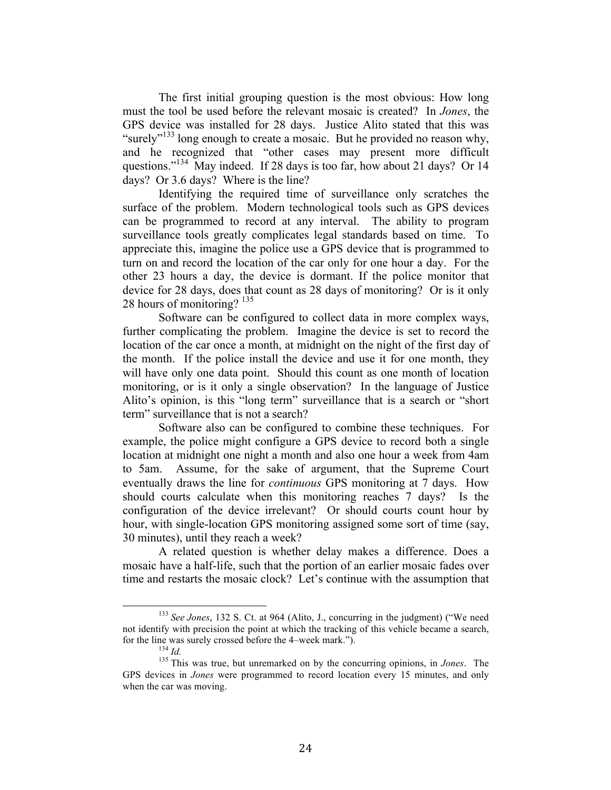The first initial grouping question is the most obvious: How long must the tool be used before the relevant mosaic is created? In *Jones*, the GPS device was installed for 28 days. Justice Alito stated that this was "surely"<sup>133</sup> long enough to create a mosaic. But he provided no reason why, and he recognized that "other cases may present more difficult questions."<sup>134</sup> May indeed. If 28 days is too far, how about 21 days? Or 14 days? Or 3.6 days? Where is the line?

Identifying the required time of surveillance only scratches the surface of the problem. Modern technological tools such as GPS devices can be programmed to record at any interval. The ability to program surveillance tools greatly complicates legal standards based on time. To appreciate this, imagine the police use a GPS device that is programmed to turn on and record the location of the car only for one hour a day. For the other 23 hours a day, the device is dormant. If the police monitor that device for 28 days, does that count as 28 days of monitoring? Or is it only 28 hours of monitoring?  $135$ 

Software can be configured to collect data in more complex ways, further complicating the problem. Imagine the device is set to record the location of the car once a month, at midnight on the night of the first day of the month. If the police install the device and use it for one month, they will have only one data point. Should this count as one month of location monitoring, or is it only a single observation? In the language of Justice Alito's opinion, is this "long term" surveillance that is a search or "short term" surveillance that is not a search?

Software also can be configured to combine these techniques. For example, the police might configure a GPS device to record both a single location at midnight one night a month and also one hour a week from 4am to 5am. Assume, for the sake of argument, that the Supreme Court eventually draws the line for *continuous* GPS monitoring at 7 days. How should courts calculate when this monitoring reaches 7 days? Is the configuration of the device irrelevant? Or should courts count hour by hour, with single-location GPS monitoring assigned some sort of time (say, 30 minutes), until they reach a week?

A related question is whether delay makes a difference. Does a mosaic have a half-life, such that the portion of an earlier mosaic fades over time and restarts the mosaic clock? Let's continue with the assumption that

<sup>&</sup>lt;sup>133</sup> See Jones, 132 S. Ct. at 964 (Alito, J., concurring in the judgment) ("We need not identify with precision the point at which the tracking of this vehicle became a search, for the line was surely crossed before the 4–week mark."). <sup>134</sup> *Id.* <sup>135</sup> This was true, but unremarked on by the concurring opinions, in *Jones*. The

GPS devices in *Jones* were programmed to record location every 15 minutes, and only when the car was moving.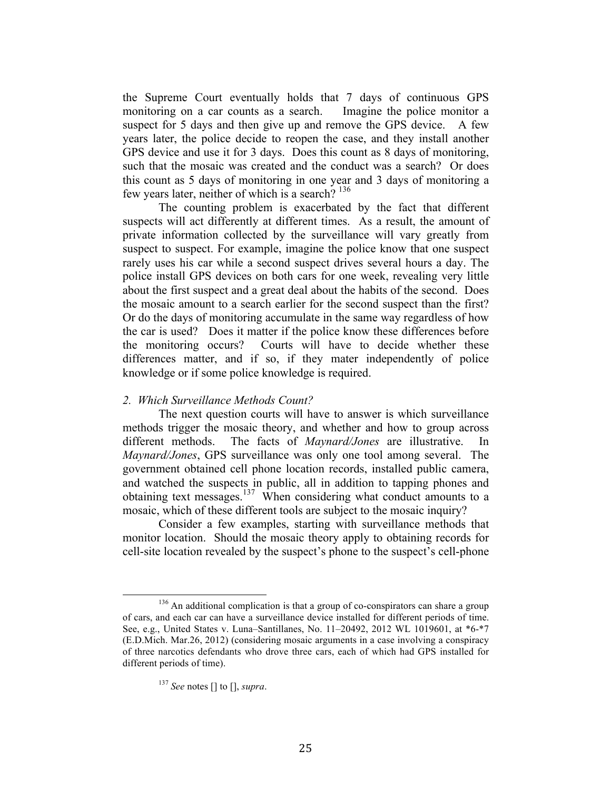the Supreme Court eventually holds that 7 days of continuous GPS monitoring on a car counts as a search. Imagine the police monitor a suspect for 5 days and then give up and remove the GPS device. A few years later, the police decide to reopen the case, and they install another GPS device and use it for 3 days. Does this count as 8 days of monitoring, such that the mosaic was created and the conduct was a search? Or does this count as 5 days of monitoring in one year and 3 days of monitoring a few years later, neither of which is a search?<sup>136</sup>

The counting problem is exacerbated by the fact that different suspects will act differently at different times. As a result, the amount of private information collected by the surveillance will vary greatly from suspect to suspect. For example, imagine the police know that one suspect rarely uses his car while a second suspect drives several hours a day. The police install GPS devices on both cars for one week, revealing very little about the first suspect and a great deal about the habits of the second. Does the mosaic amount to a search earlier for the second suspect than the first? Or do the days of monitoring accumulate in the same way regardless of how the car is used? Does it matter if the police know these differences before the monitoring occurs? Courts will have to decide whether these differences matter, and if so, if they mater independently of police knowledge or if some police knowledge is required.

#### *2. Which Surveillance Methods Count?*

The next question courts will have to answer is which surveillance methods trigger the mosaic theory, and whether and how to group across different methods. The facts of *Maynard/Jones* are illustrative. In *Maynard/Jones*, GPS surveillance was only one tool among several. The government obtained cell phone location records, installed public camera, and watched the suspects in public, all in addition to tapping phones and obtaining text messages. <sup>137</sup> When considering what conduct amounts to a mosaic, which of these different tools are subject to the mosaic inquiry?

Consider a few examples, starting with surveillance methods that monitor location. Should the mosaic theory apply to obtaining records for cell-site location revealed by the suspect's phone to the suspect's cell-phone

<sup>&</sup>lt;sup>136</sup> An additional complication is that a group of co-conspirators can share a group of cars, and each car can have a surveillance device installed for different periods of time. See, e.g., United States v. Luna–Santillanes, No. 11–20492, 2012 WL 1019601, at \*6-\*7 (E.D.Mich. Mar.26, 2012) (considering mosaic arguments in a case involving a conspiracy of three narcotics defendants who drove three cars, each of which had GPS installed for different periods of time).

<sup>137</sup> *See* notes [] to [], *supra*.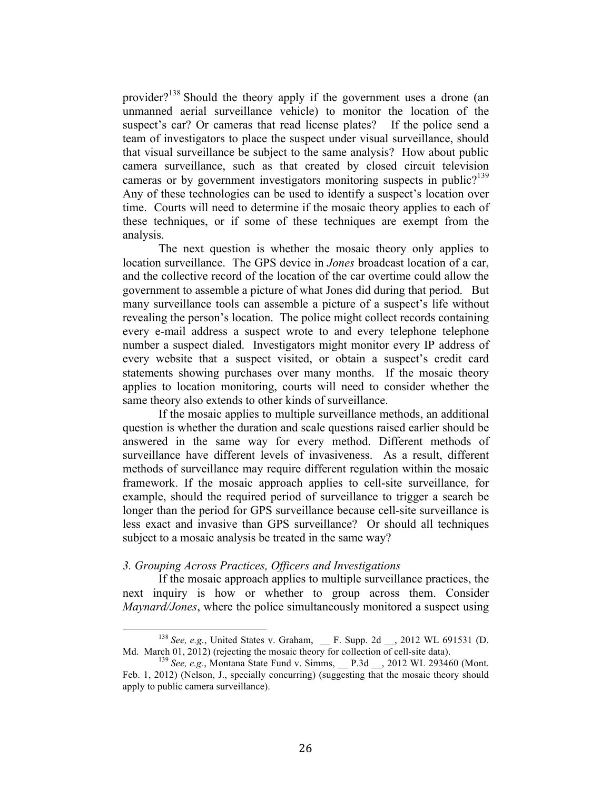provider?<sup>138</sup> Should the theory apply if the government uses a drone (an unmanned aerial surveillance vehicle) to monitor the location of the suspect's car? Or cameras that read license plates? If the police send a team of investigators to place the suspect under visual surveillance, should that visual surveillance be subject to the same analysis? How about public camera surveillance, such as that created by closed circuit television cameras or by government investigators monitoring suspects in public?<sup>139</sup> Any of these technologies can be used to identify a suspect's location over time. Courts will need to determine if the mosaic theory applies to each of these techniques, or if some of these techniques are exempt from the analysis.

The next question is whether the mosaic theory only applies to location surveillance. The GPS device in *Jones* broadcast location of a car, and the collective record of the location of the car overtime could allow the government to assemble a picture of what Jones did during that period. But many surveillance tools can assemble a picture of a suspect's life without revealing the person's location. The police might collect records containing every e-mail address a suspect wrote to and every telephone telephone number a suspect dialed. Investigators might monitor every IP address of every website that a suspect visited, or obtain a suspect's credit card statements showing purchases over many months. If the mosaic theory applies to location monitoring, courts will need to consider whether the same theory also extends to other kinds of surveillance.

If the mosaic applies to multiple surveillance methods, an additional question is whether the duration and scale questions raised earlier should be answered in the same way for every method. Different methods of surveillance have different levels of invasiveness. As a result, different methods of surveillance may require different regulation within the mosaic framework. If the mosaic approach applies to cell-site surveillance, for example, should the required period of surveillance to trigger a search be longer than the period for GPS surveillance because cell-site surveillance is less exact and invasive than GPS surveillance? Or should all techniques subject to a mosaic analysis be treated in the same way?

## *3. Grouping Across Practices, Officers and Investigations*

If the mosaic approach applies to multiple surveillance practices, the next inquiry is how or whether to group across them. Consider *Maynard/Jones*, where the police simultaneously monitored a suspect using

<sup>&</sup>lt;sup>138</sup> See, e.g., United States v. Graham, \_\_ F. Supp. 2d \_\_, 2012 WL 691531 (D. Md. March 01, 2012) (rejecting the mosaic theory for collection of cell-site data).<br><sup>139</sup> *See, e.g.*, Montana State Fund v. Simms, \_\_P.3d \_\_, 2012 WL 293460 (Mont.

Feb. 1, 2012) (Nelson, J., specially concurring) (suggesting that the mosaic theory should apply to public camera surveillance).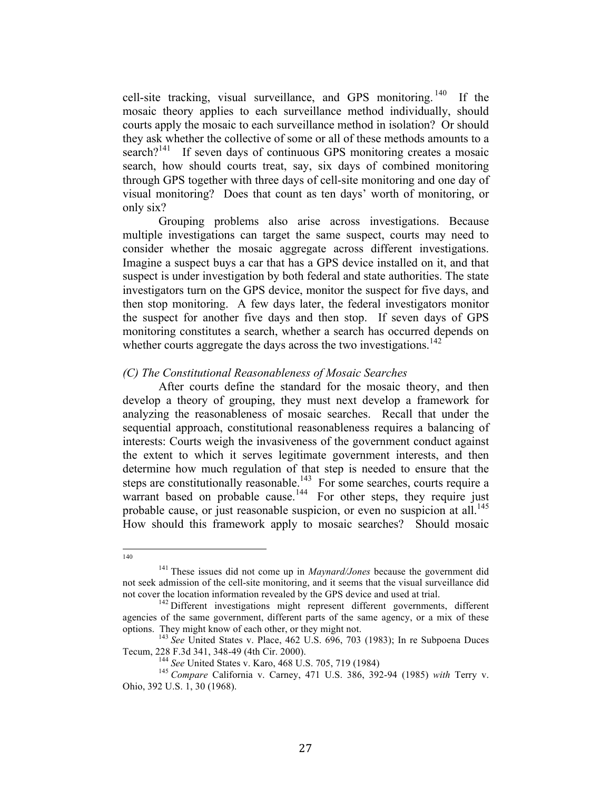cell-site tracking, visual surveillance, and GPS monitoring.  $140$  If the mosaic theory applies to each surveillance method individually, should courts apply the mosaic to each surveillance method in isolation? Or should they ask whether the collective of some or all of these methods amounts to a search? $141$  If seven days of continuous GPS monitoring creates a mosaic search, how should courts treat, say, six days of combined monitoring through GPS together with three days of cell-site monitoring and one day of visual monitoring? Does that count as ten days' worth of monitoring, or only six?

Grouping problems also arise across investigations. Because multiple investigations can target the same suspect, courts may need to consider whether the mosaic aggregate across different investigations. Imagine a suspect buys a car that has a GPS device installed on it, and that suspect is under investigation by both federal and state authorities. The state investigators turn on the GPS device, monitor the suspect for five days, and then stop monitoring. A few days later, the federal investigators monitor the suspect for another five days and then stop. If seven days of GPS monitoring constitutes a search, whether a search has occurred depends on whether courts aggregate the days across the two investigations.<sup>142</sup>

#### *(C) The Constitutional Reasonableness of Mosaic Searches*

After courts define the standard for the mosaic theory, and then develop a theory of grouping, they must next develop a framework for analyzing the reasonableness of mosaic searches. Recall that under the sequential approach, constitutional reasonableness requires a balancing of interests: Courts weigh the invasiveness of the government conduct against the extent to which it serves legitimate government interests, and then determine how much regulation of that step is needed to ensure that the steps are constitutionally reasonable.<sup>143</sup> For some searches, courts require a warrant based on probable cause.<sup>144</sup> For other steps, they require just probable cause, or just reasonable suspicion, or even no suspicion at all.<sup>145</sup> How should this framework apply to mosaic searches? Should mosaic

<sup>!!!!!!!!!!!!!!!!!!!!!!!!!!!!!!!!!!!!!!!!!!!!!!!!!!!!!!!</sup> <sup>140</sup>

<sup>141</sup> These issues did not come up in *Maynard/Jones* because the government did not seek admission of the cell-site monitoring, and it seems that the visual surveillance did

<sup>&</sup>lt;sup>142</sup> Different investigations might represent different governments, different agencies of the same government, different parts of the same agency, or a mix of these options. They might know of each other, or they might not. 143 *See* United States v. Place, 462 U.S. 696, 703 (1983); In re Subpoena Duces

Tecum, 228 F.3d 341, 348-49 (4th Cir. 2000). <sup>144</sup> *See* United States v. Karo, 468 U.S. 705, 719 (1984) <sup>145</sup> *Compare* California v. Carney, 471 U.S. 386, 392-94 (1985) *with* Terry v.

Ohio, 392 U.S. 1, 30 (1968).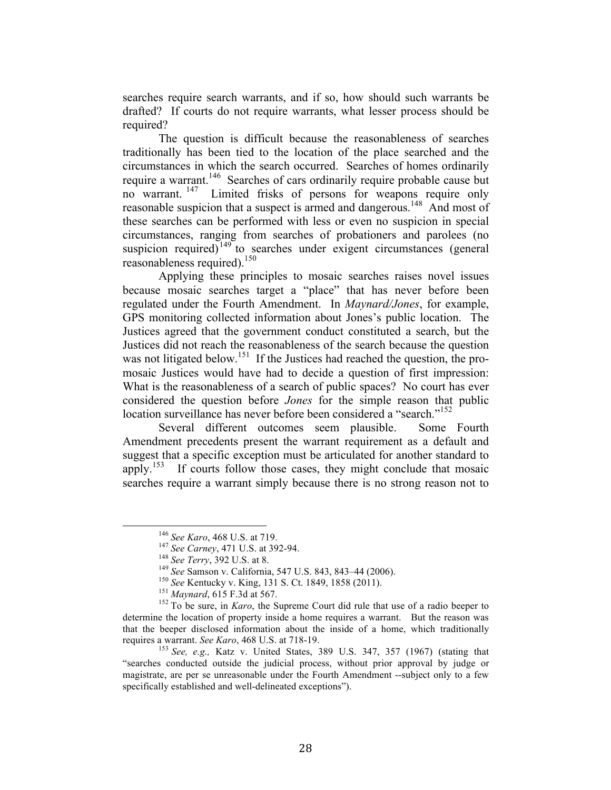searches require search warrants, and if so, how should such warrants be drafted? If courts do not require warrants, what lesser process should be required?

The question is difficult because the reasonableness of searches traditionally has been tied to the location of the place searched and the circumstances in which the search occurred. Searches of homes ordinarily require a warrant.<sup>146</sup> Searches of cars ordinarily require probable cause but no warrant. 147 Limited frisks of persons for weapons require only reasonable suspicion that a suspect is armed and dangerous.<sup>148</sup> And most of these searches can be performed with less or even no suspicion in special circumstances, ranging from searches of probationers and parolees (no suspicion required) $149$  to searches under exigent circumstances (general reasonableness required).<sup>150</sup>

Applying these principles to mosaic searches raises novel issues because mosaic searches target a "place" that has never before been regulated under the Fourth Amendment. In *Maynard/Jones*, for example, GPS monitoring collected information about Jones's public location. The Justices agreed that the government conduct constituted a search, but the Justices did not reach the reasonableness of the search because the question was not litigated below.<sup>151</sup> If the Justices had reached the question, the promosaic Justices would have had to decide a question of first impression: What is the reasonableness of a search of public spaces? No court has ever considered the question before *Jones* for the simple reason that public location surveillance has never before been considered a "search."<sup>152</sup>

Several different outcomes seem plausible. Some Fourth Amendment precedents present the warrant requirement as a default and suggest that a specific exception must be articulated for another standard to apply.153 If courts follow those cases, they might conclude that mosaic searches require a warrant simply because there is no strong reason not to

<sup>&</sup>lt;sup>146</sup> See Karo, 468 U.S. at 719.<br>
<sup>147</sup> See Carney, 471 U.S. at 392-94.<br>
<sup>148</sup> See Terry, 392 U.S. at 8.<br>
<sup>148</sup> See Samson v. California, 547 U.S. 843, 843–44 (2006).<br>
<sup>150</sup> See Kentucky v. King, 131 S. Ct. 1849, 1858 (20 determine the location of property inside a home requires a warrant. But the reason was that the beeper disclosed information about the inside of a home, which traditionally requires a warrant. *See Karo*, 468 U.S. at 718-19.<br><sup>153</sup> *See, e.g.*, Katz v. United States, 389 U.S. 347, 357 (1967) (stating that

<sup>&</sup>quot;searches conducted outside the judicial process, without prior approval by judge or magistrate, are per se unreasonable under the Fourth Amendment --subject only to a few specifically established and well-delineated exceptions").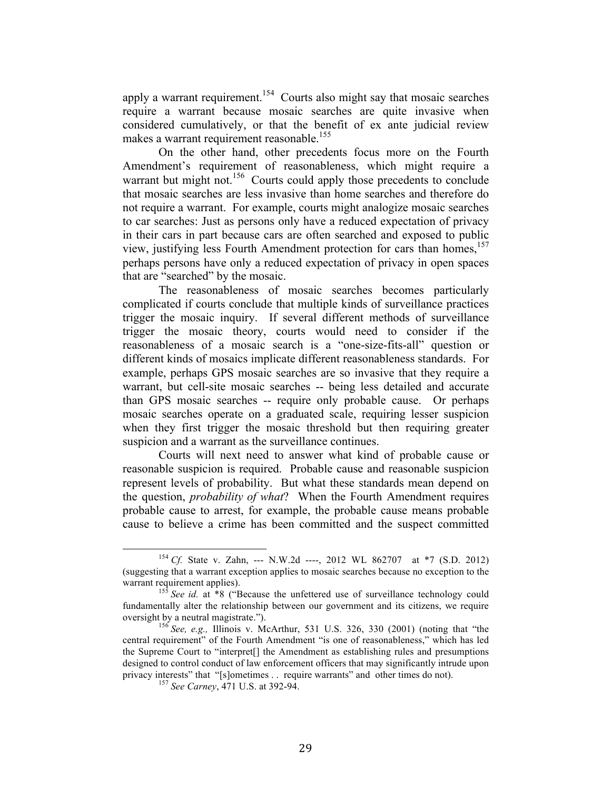apply a warrant requirement.<sup>154</sup> Courts also might say that mosaic searches require a warrant because mosaic searches are quite invasive when considered cumulatively, or that the benefit of ex ante judicial review makes a warrant requirement reasonable.<sup>155</sup>

On the other hand, other precedents focus more on the Fourth Amendment's requirement of reasonableness, which might require a warrant but might not.<sup>156</sup> Courts could apply those precedents to conclude that mosaic searches are less invasive than home searches and therefore do not require a warrant. For example, courts might analogize mosaic searches to car searches: Just as persons only have a reduced expectation of privacy in their cars in part because cars are often searched and exposed to public view, justifying less Fourth Amendment protection for cars than homes,<sup>157</sup> perhaps persons have only a reduced expectation of privacy in open spaces that are "searched" by the mosaic.

The reasonableness of mosaic searches becomes particularly complicated if courts conclude that multiple kinds of surveillance practices trigger the mosaic inquiry. If several different methods of surveillance trigger the mosaic theory, courts would need to consider if the reasonableness of a mosaic search is a "one-size-fits-all" question or different kinds of mosaics implicate different reasonableness standards. For example, perhaps GPS mosaic searches are so invasive that they require a warrant, but cell-site mosaic searches -- being less detailed and accurate than GPS mosaic searches -- require only probable cause. Or perhaps mosaic searches operate on a graduated scale, requiring lesser suspicion when they first trigger the mosaic threshold but then requiring greater suspicion and a warrant as the surveillance continues.

Courts will next need to answer what kind of probable cause or reasonable suspicion is required. Probable cause and reasonable suspicion represent levels of probability. But what these standards mean depend on the question, *probability of what*? When the Fourth Amendment requires probable cause to arrest, for example, the probable cause means probable cause to believe a crime has been committed and the suspect committed

<sup>&</sup>lt;sup>154</sup> Cf. State v. Zahn, --- N.W.2d ----, 2012 WL 862707 at \*7 (S.D. 2012) (suggesting that a warrant exception applies to mosaic searches because no exception to the warrant requirement applies).<br><sup>155</sup> *See id.* at \*8 ("Because the unfettered use of surveillance technology could

fundamentally alter the relationship between our government and its citizens, we require oversight by a neutral magistrate."). <sup>156</sup> *See, e.g.,* Illinois v. McArthur, 531 U.S. 326, 330 (2001) (noting that "the

central requirement" of the Fourth Amendment "is one of reasonableness," which has led the Supreme Court to "interpret[] the Amendment as establishing rules and presumptions designed to control conduct of law enforcement officers that may significantly intrude upon privacy interests" that "[s]ometimes . . require warrants" and other times do not). <sup>157</sup> *See Carney*, 471 U.S. at 392-94.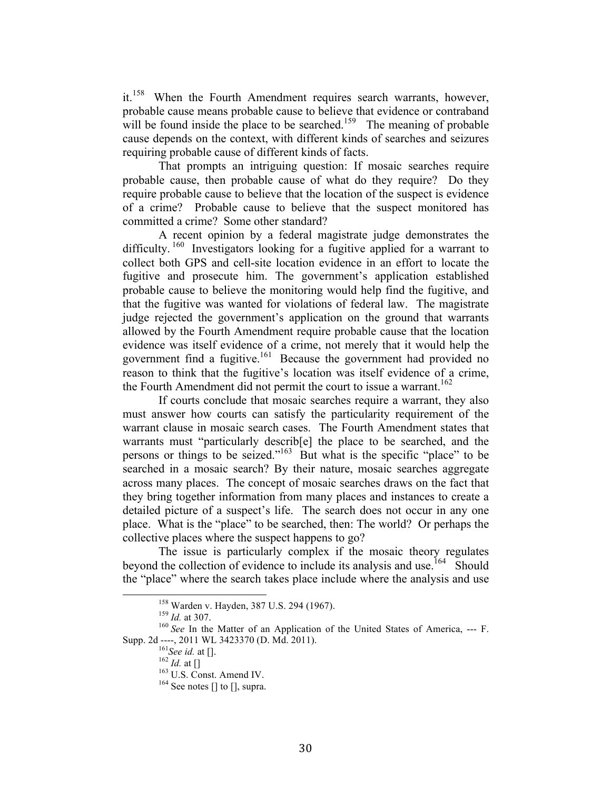it.<sup>158</sup> When the Fourth Amendment requires search warrants, however, probable cause means probable cause to believe that evidence or contraband will be found inside the place to be searched.<sup>159</sup> The meaning of probable cause depends on the context, with different kinds of searches and seizures requiring probable cause of different kinds of facts.

That prompts an intriguing question: If mosaic searches require probable cause, then probable cause of what do they require? Do they require probable cause to believe that the location of the suspect is evidence of a crime? Probable cause to believe that the suspect monitored has committed a crime? Some other standard?

A recent opinion by a federal magistrate judge demonstrates the difficulty.<sup>160</sup> Investigators looking for a fugitive applied for a warrant to collect both GPS and cell-site location evidence in an effort to locate the fugitive and prosecute him. The government's application established probable cause to believe the monitoring would help find the fugitive, and that the fugitive was wanted for violations of federal law. The magistrate judge rejected the government's application on the ground that warrants allowed by the Fourth Amendment require probable cause that the location evidence was itself evidence of a crime, not merely that it would help the government find a fugitive.<sup>161</sup> Because the government had provided no reason to think that the fugitive's location was itself evidence of a crime, the Fourth Amendment did not permit the court to issue a warrant.<sup>162</sup>

If courts conclude that mosaic searches require a warrant, they also must answer how courts can satisfy the particularity requirement of the warrant clause in mosaic search cases. The Fourth Amendment states that warrants must "particularly describ[e] the place to be searched, and the persons or things to be seized."<sup>163</sup> But what is the specific "place" to be searched in a mosaic search? By their nature, mosaic searches aggregate across many places. The concept of mosaic searches draws on the fact that they bring together information from many places and instances to create a detailed picture of a suspect's life. The search does not occur in any one place. What is the "place" to be searched, then: The world? Or perhaps the collective places where the suspect happens to go?

The issue is particularly complex if the mosaic theory regulates beyond the collection of evidence to include its analysis and use.<sup>164</sup> Should the "place" where the search takes place include where the analysis and use

<sup>&</sup>lt;sup>159</sup> *Id.* at 307.<br><sup>159</sup> *Id.* at 307.<br><sup>160</sup> *See* In the Matter of an Application of the United States of America, --- F.<br>Supp. 2d ----, 2011 WL 3423370 (D. Md. 2011).

<sup>&</sup>lt;sup>161</sup> See id. at [].<br><sup>162</sup> *Id.* at []<br><sup>163</sup> U.S. Const. Amend IV.<br><sup>164</sup> See notes [] to [], supra.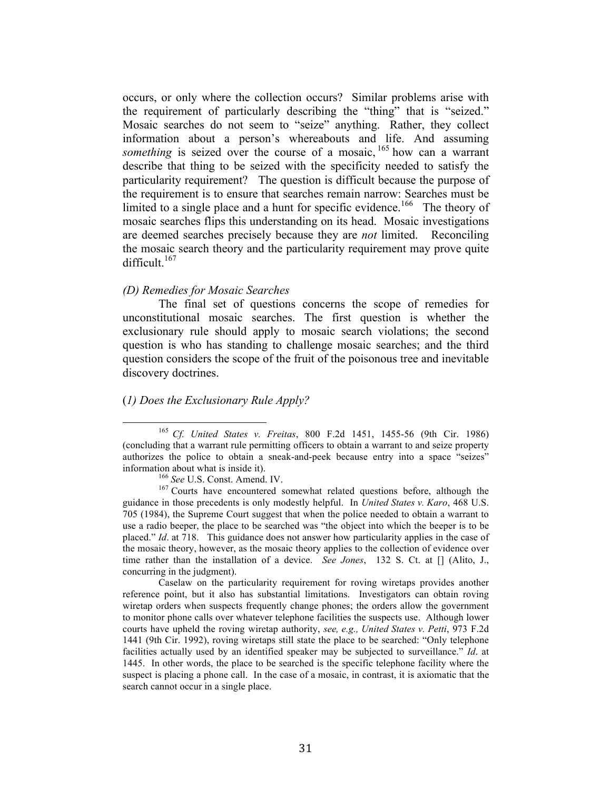occurs, or only where the collection occurs? Similar problems arise with the requirement of particularly describing the "thing" that is "seized." Mosaic searches do not seem to "seize" anything. Rather, they collect information about a person's whereabouts and life. And assuming something is seized over the course of a mosaic, <sup>165</sup> how can a warrant describe that thing to be seized with the specificity needed to satisfy the particularity requirement? The question is difficult because the purpose of the requirement is to ensure that searches remain narrow: Searches must be limited to a single place and a hunt for specific evidence.<sup>166</sup> The theory of mosaic searches flips this understanding on its head. Mosaic investigations are deemed searches precisely because they are *not* limited. Reconciling the mosaic search theory and the particularity requirement may prove quite difficult. $167$ 

#### *(D) Remedies for Mosaic Searches*

The final set of questions concerns the scope of remedies for unconstitutional mosaic searches. The first question is whether the exclusionary rule should apply to mosaic search violations; the second question is who has standing to challenge mosaic searches; and the third question considers the scope of the fruit of the poisonous tree and inevitable discovery doctrines.

## (*1) Does the Exclusionary Rule Apply?*

Caselaw on the particularity requirement for roving wiretaps provides another reference point, but it also has substantial limitations. Investigators can obtain roving wiretap orders when suspects frequently change phones; the orders allow the government to monitor phone calls over whatever telephone facilities the suspects use. Although lower courts have upheld the roving wiretap authority, *see, e.g., United States v. Petti*, 973 F.2d 1441 (9th Cir. 1992), roving wiretaps still state the place to be searched: "Only telephone facilities actually used by an identified speaker may be subjected to surveillance." *Id*. at 1445. In other words, the place to be searched is the specific telephone facility where the suspect is placing a phone call. In the case of a mosaic, in contrast, it is axiomatic that the search cannot occur in a single place.

<sup>&</sup>lt;sup>165</sup> Cf. United States v. Freitas, 800 F.2d 1451, 1455-56 (9th Cir. 1986) (concluding that a warrant rule permitting officers to obtain a warrant to and seize property authorizes the police to obtain a sneak-and-peek because entry into a space "seizes"

information about what is inside it).<br><sup>166</sup> *See* U.S. Const. Amend. IV.<br><sup>167</sup> Courts have encountered somewhat related questions before, although the guidance in those precedents is only modestly helpful. In *United States v. Karo*, 468 U.S. 705 (1984), the Supreme Court suggest that when the police needed to obtain a warrant to use a radio beeper, the place to be searched was "the object into which the beeper is to be placed." *Id*. at 718. This guidance does not answer how particularity applies in the case of the mosaic theory, however, as the mosaic theory applies to the collection of evidence over time rather than the installation of a device. *See Jones*, 132 S. Ct. at [] (Alito, J., concurring in the judgment).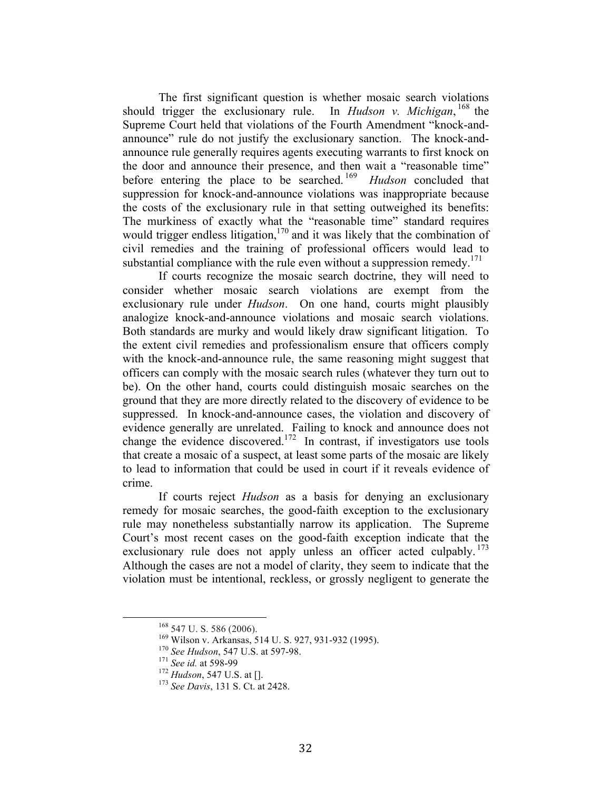The first significant question is whether mosaic search violations should trigger the exclusionary rule. In *Hudson v. Michigan*,  $^{168}$  the Supreme Court held that violations of the Fourth Amendment "knock-andannounce" rule do not justify the exclusionary sanction. The knock-andannounce rule generally requires agents executing warrants to first knock on the door and announce their presence, and then wait a "reasonable time" before entering the place to be searched. 169 *Hudson* concluded that suppression for knock-and-announce violations was inappropriate because the costs of the exclusionary rule in that setting outweighed its benefits: The murkiness of exactly what the "reasonable time" standard requires would trigger endless litigation, $170$  and it was likely that the combination of civil remedies and the training of professional officers would lead to substantial compliance with the rule even without a suppression remedy.<sup>171</sup>

If courts recognize the mosaic search doctrine, they will need to consider whether mosaic search violations are exempt from the exclusionary rule under *Hudson*. On one hand, courts might plausibly analogize knock-and-announce violations and mosaic search violations. Both standards are murky and would likely draw significant litigation. To the extent civil remedies and professionalism ensure that officers comply with the knock-and-announce rule, the same reasoning might suggest that officers can comply with the mosaic search rules (whatever they turn out to be). On the other hand, courts could distinguish mosaic searches on the ground that they are more directly related to the discovery of evidence to be suppressed. In knock-and-announce cases, the violation and discovery of evidence generally are unrelated. Failing to knock and announce does not change the evidence discovered.<sup>172</sup> In contrast, if investigators use tools that create a mosaic of a suspect, at least some parts of the mosaic are likely to lead to information that could be used in court if it reveals evidence of crime.

If courts reject *Hudson* as a basis for denying an exclusionary remedy for mosaic searches, the good-faith exception to the exclusionary rule may nonetheless substantially narrow its application. The Supreme Court's most recent cases on the good-faith exception indicate that the exclusionary rule does not apply unless an officer acted culpably.  $173$ Although the cases are not a model of clarity, they seem to indicate that the violation must be intentional, reckless, or grossly negligent to generate the

<sup>&</sup>lt;sup>168</sup> 547 U. S. 586 (2006).<br><sup>169</sup> Wilson v. Arkansas, 514 U. S. 927, 931-932 (1995).<br><sup>170</sup> *See Hudson*, 547 U.S. at 597-98.<br><sup>171</sup> *See id.* at 598-99<br><sup>172</sup> *Hudson*, 547 U.S. at [].<br><sup>173</sup> *See Davis*, 131 S. Ct. at 2428.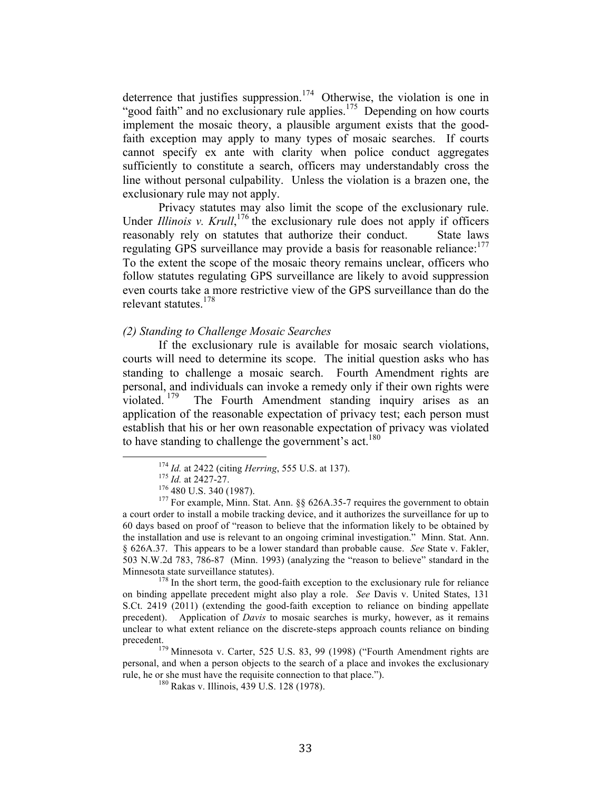deterrence that justifies suppression.<sup>174</sup> Otherwise, the violation is one in "good faith" and no exclusionary rule applies.<sup>175</sup> Depending on how courts implement the mosaic theory, a plausible argument exists that the goodfaith exception may apply to many types of mosaic searches. If courts cannot specify ex ante with clarity when police conduct aggregates sufficiently to constitute a search, officers may understandably cross the line without personal culpability. Unless the violation is a brazen one, the exclusionary rule may not apply.

Privacy statutes may also limit the scope of the exclusionary rule. Under *Illinois v. Krull*,<sup>176</sup> the exclusionary rule does not apply if officers reasonably rely on statutes that authorize their conduct. State laws regulating GPS surveillance may provide a basis for reasonable reliance:<sup>177</sup> To the extent the scope of the mosaic theory remains unclear, officers who follow statutes regulating GPS surveillance are likely to avoid suppression even courts take a more restrictive view of the GPS surveillance than do the relevant statutes.<sup>178</sup>

#### *(2) Standing to Challenge Mosaic Searches*

If the exclusionary rule is available for mosaic search violations, courts will need to determine its scope. The initial question asks who has standing to challenge a mosaic search. Fourth Amendment rights are personal, and individuals can invoke a remedy only if their own rights were violated. <sup>179</sup> The Fourth Amendment standing inquiry arises as an application of the reasonable expectation of privacy test; each person must establish that his or her own reasonable expectation of privacy was violated to have standing to challenge the government's act.<sup>180</sup>

on binding appellate precedent might also play a role. *See* Davis v. United States, 131 S.Ct. 2419 (2011) (extending the good-faith exception to reliance on binding appellate precedent). Application of *Davis* to mosaic searches is murky, however, as it remains unclear to what extent reliance on the discrete-steps approach counts reliance on binding precedent.

<sup>179</sup> Minnesota v. Carter, 525 U.S. 83, 99 (1998) ("Fourth Amendment rights are personal, and when a person objects to the search of a place and invokes the exclusionary rule, he or she must have the requisite connection to that place."). <sup>180</sup> Rakas v. Illinois, 439 U.S. 128 (1978).

<sup>&</sup>lt;sup>174</sup> *Id.* at 2422 (citing *Herring*, 555 U.S. at 137).<br><sup>175</sup> *Id.* at 2427-27.<br><sup>176</sup> 480 U.S. 340 (1987).<br><sup>177</sup> For example, Minn. Stat. Ann. §§ 626A.35-7 requires the government to obtain a court order to install a mobile tracking device, and it authorizes the surveillance for up to 60 days based on proof of "reason to believe that the information likely to be obtained by the installation and use is relevant to an ongoing criminal investigation." Minn. Stat. Ann. § 626A.37. This appears to be a lower standard than probable cause. *See* State v. Fakler, 503 N.W.2d 783, 786-87 (Minn. 1993) (analyzing the "reason to believe" standard in the Minnesota state surveillance statutes).<br><sup>178</sup> In the short term, the good-faith exception to the exclusionary rule for reliance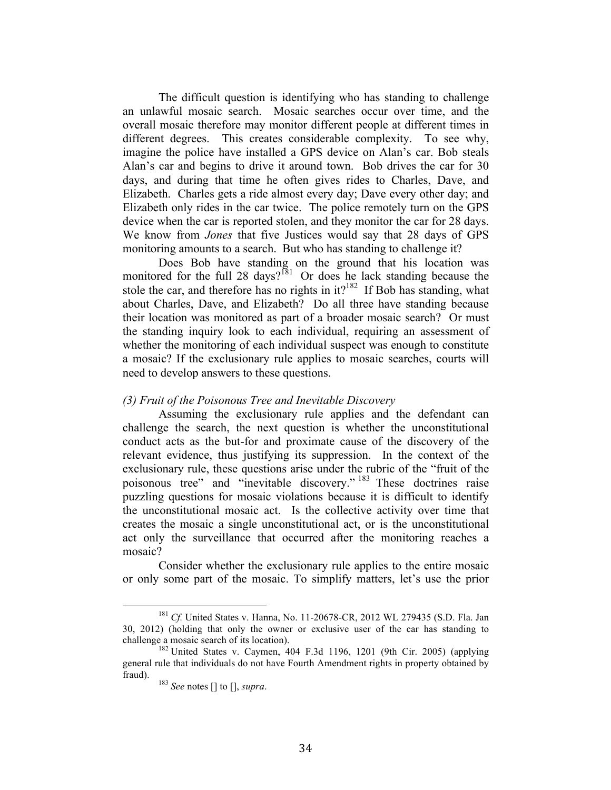The difficult question is identifying who has standing to challenge an unlawful mosaic search. Mosaic searches occur over time, and the overall mosaic therefore may monitor different people at different times in different degrees. This creates considerable complexity. To see why, imagine the police have installed a GPS device on Alan's car. Bob steals Alan's car and begins to drive it around town. Bob drives the car for 30 days, and during that time he often gives rides to Charles, Dave, and Elizabeth. Charles gets a ride almost every day; Dave every other day; and Elizabeth only rides in the car twice. The police remotely turn on the GPS device when the car is reported stolen, and they monitor the car for 28 days. We know from *Jones* that five Justices would say that 28 days of GPS monitoring amounts to a search. But who has standing to challenge it?

Does Bob have standing on the ground that his location was monitored for the full 28 days?<sup>181</sup> Or does he lack standing because the stole the car, and therefore has no rights in  $it?$ <sup>182</sup> If Bob has standing, what about Charles, Dave, and Elizabeth? Do all three have standing because their location was monitored as part of a broader mosaic search? Or must the standing inquiry look to each individual, requiring an assessment of whether the monitoring of each individual suspect was enough to constitute a mosaic? If the exclusionary rule applies to mosaic searches, courts will need to develop answers to these questions.

#### *(3) Fruit of the Poisonous Tree and Inevitable Discovery*

Assuming the exclusionary rule applies and the defendant can challenge the search, the next question is whether the unconstitutional conduct acts as the but-for and proximate cause of the discovery of the relevant evidence, thus justifying its suppression. In the context of the exclusionary rule, these questions arise under the rubric of the "fruit of the poisonous tree" and "inevitable discovery." <sup>183</sup> These doctrines raise puzzling questions for mosaic violations because it is difficult to identify the unconstitutional mosaic act. Is the collective activity over time that creates the mosaic a single unconstitutional act, or is the unconstitutional act only the surveillance that occurred after the monitoring reaches a mosaic?

Consider whether the exclusionary rule applies to the entire mosaic or only some part of the mosaic. To simplify matters, let's use the prior

<sup>&</sup>lt;sup>181</sup> Cf. United States v. Hanna, No. 11-20678-CR, 2012 WL 279435 (S.D. Fla. Jan 30, 2012) (holding that only the owner or exclusive user of the car has standing to challenge a mosaic search of its location).<br><sup>182</sup> United States v. Caymen, 404 F.3d 1196, 1201 (9th Cir. 2005) (applying

general rule that individuals do not have Fourth Amendment rights in property obtained by fraud). <sup>183</sup> *See* notes [] to [], *supra*.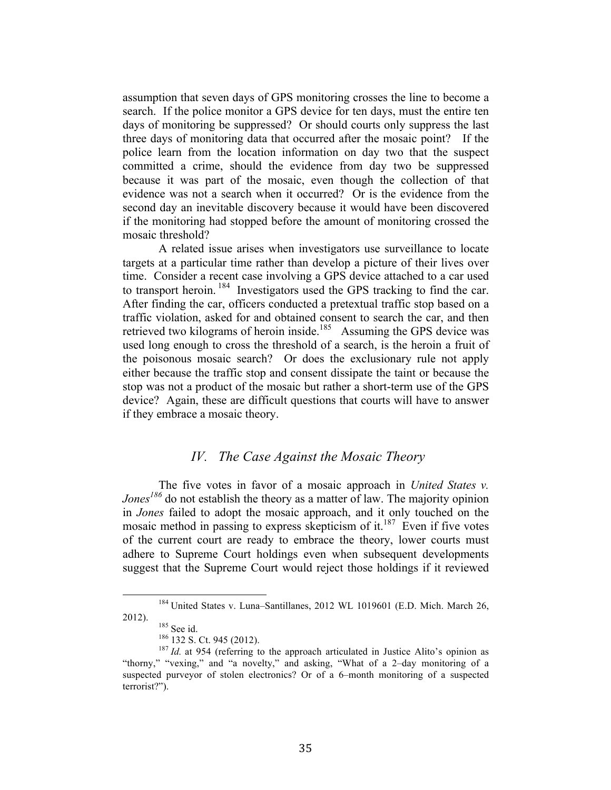assumption that seven days of GPS monitoring crosses the line to become a search. If the police monitor a GPS device for ten days, must the entire ten days of monitoring be suppressed? Or should courts only suppress the last three days of monitoring data that occurred after the mosaic point? If the police learn from the location information on day two that the suspect committed a crime, should the evidence from day two be suppressed because it was part of the mosaic, even though the collection of that evidence was not a search when it occurred? Or is the evidence from the second day an inevitable discovery because it would have been discovered if the monitoring had stopped before the amount of monitoring crossed the mosaic threshold?

A related issue arises when investigators use surveillance to locate targets at a particular time rather than develop a picture of their lives over time. Consider a recent case involving a GPS device attached to a car used to transport heroin. 184 Investigators used the GPS tracking to find the car. After finding the car, officers conducted a pretextual traffic stop based on a traffic violation, asked for and obtained consent to search the car, and then retrieved two kilograms of heroin inside.<sup>185</sup> Assuming the GPS device was used long enough to cross the threshold of a search, is the heroin a fruit of the poisonous mosaic search? Or does the exclusionary rule not apply either because the traffic stop and consent dissipate the taint or because the stop was not a product of the mosaic but rather a short-term use of the GPS device? Again, these are difficult questions that courts will have to answer if they embrace a mosaic theory.

## *IV. The Case Against the Mosaic Theory*

The five votes in favor of a mosaic approach in *United States v. Jones<sup>186</sup>* do not establish the theory as a matter of law. The majority opinion in *Jones* failed to adopt the mosaic approach, and it only touched on the mosaic method in passing to express skepticism of it.<sup>187</sup> Even if five votes of the current court are ready to embrace the theory, lower courts must adhere to Supreme Court holdings even when subsequent developments suggest that the Supreme Court would reject those holdings if it reviewed

<sup>&</sup>lt;sup>184</sup> United States v. Luna–Santillanes, 2012 WL 1019601 (E.D. Mich. March 26, 2012).<br><sup>185</sup> See id. <sup>186</sup> 132 S. Ct. 945 (2012).<br><sup>187</sup> *Id.* at 954 (referring to the approach articulated in Justice Alito's opinion as

<sup>&</sup>quot;thorny," "vexing," and "a novelty," and asking, "What of a 2–day monitoring of a suspected purveyor of stolen electronics? Or of a 6–month monitoring of a suspected terrorist?").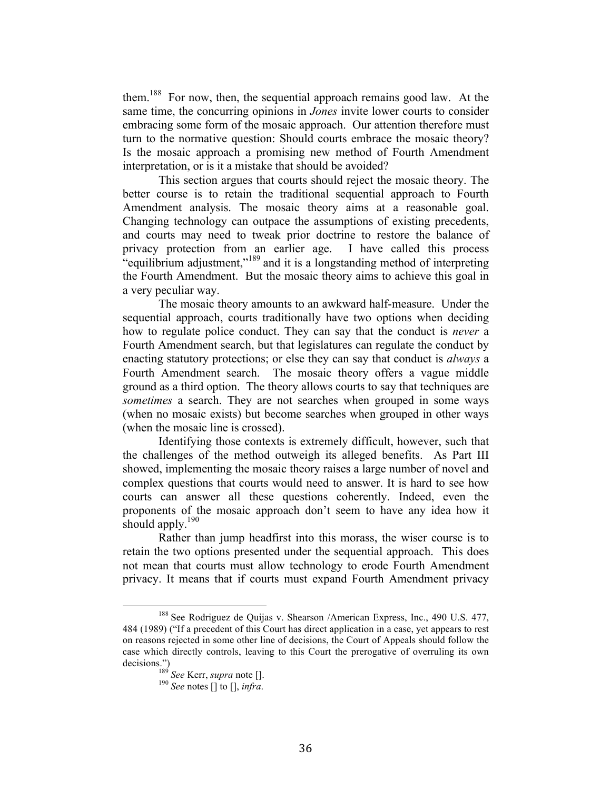them.188 For now, then, the sequential approach remains good law. At the same time, the concurring opinions in *Jones* invite lower courts to consider embracing some form of the mosaic approach. Our attention therefore must turn to the normative question: Should courts embrace the mosaic theory? Is the mosaic approach a promising new method of Fourth Amendment interpretation, or is it a mistake that should be avoided?

This section argues that courts should reject the mosaic theory. The better course is to retain the traditional sequential approach to Fourth Amendment analysis. The mosaic theory aims at a reasonable goal. Changing technology can outpace the assumptions of existing precedents, and courts may need to tweak prior doctrine to restore the balance of privacy protection from an earlier age. I have called this process "equilibrium adjustment,"<sup>189</sup> and it is a longstanding method of interpreting the Fourth Amendment. But the mosaic theory aims to achieve this goal in a very peculiar way.

The mosaic theory amounts to an awkward half-measure. Under the sequential approach, courts traditionally have two options when deciding how to regulate police conduct. They can say that the conduct is *never* a Fourth Amendment search, but that legislatures can regulate the conduct by enacting statutory protections; or else they can say that conduct is *always* a Fourth Amendment search. The mosaic theory offers a vague middle ground as a third option. The theory allows courts to say that techniques are *sometimes* a search. They are not searches when grouped in some ways (when no mosaic exists) but become searches when grouped in other ways (when the mosaic line is crossed).

Identifying those contexts is extremely difficult, however, such that the challenges of the method outweigh its alleged benefits. As Part III showed, implementing the mosaic theory raises a large number of novel and complex questions that courts would need to answer. It is hard to see how courts can answer all these questions coherently. Indeed, even the proponents of the mosaic approach don't seem to have any idea how it should apply.<sup>190</sup>

Rather than jump headfirst into this morass, the wiser course is to retain the two options presented under the sequential approach. This does not mean that courts must allow technology to erode Fourth Amendment privacy. It means that if courts must expand Fourth Amendment privacy

<sup>&</sup>lt;sup>188</sup> See Rodriguez de Quijas v. Shearson /American Express, Inc., 490 U.S. 477, 484 (1989) ("If a precedent of this Court has direct application in a case, yet appears to rest on reasons rejected in some other line of decisions, the Court of Appeals should follow the case which directly controls, leaving to this Court the prerogative of overruling its own decisions.") <sup>189</sup> *See* Kerr, *supra* note []. <sup>190</sup> *See* notes [] to [], *infra*.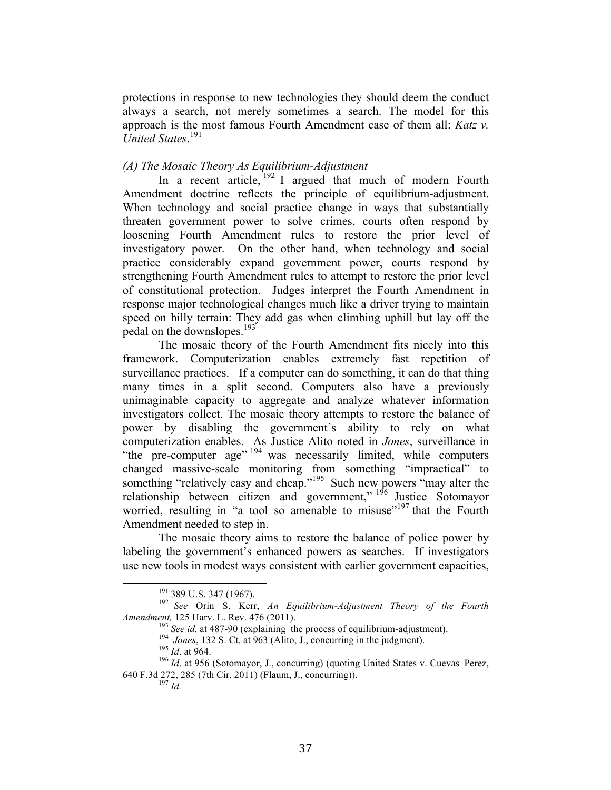protections in response to new technologies they should deem the conduct always a search, not merely sometimes a search. The model for this approach is the most famous Fourth Amendment case of them all: *Katz v. United States*. 191

#### *(A) The Mosaic Theory As Equilibrium-Adjustment*

In a recent article,  $192$  I argued that much of modern Fourth Amendment doctrine reflects the principle of equilibrium-adjustment. When technology and social practice change in ways that substantially threaten government power to solve crimes, courts often respond by loosening Fourth Amendment rules to restore the prior level of investigatory power. On the other hand, when technology and social practice considerably expand government power, courts respond by strengthening Fourth Amendment rules to attempt to restore the prior level of constitutional protection. Judges interpret the Fourth Amendment in response major technological changes much like a driver trying to maintain speed on hilly terrain: They add gas when climbing uphill but lay off the pedal on the downslopes.<sup>193</sup>

The mosaic theory of the Fourth Amendment fits nicely into this framework. Computerization enables extremely fast repetition of surveillance practices. If a computer can do something, it can do that thing many times in a split second. Computers also have a previously unimaginable capacity to aggregate and analyze whatever information investigators collect. The mosaic theory attempts to restore the balance of power by disabling the government's ability to rely on what computerization enables. As Justice Alito noted in *Jones*, surveillance in "the pre-computer age" <sup>194</sup> was necessarily limited, while computers changed massive-scale monitoring from something "impractical" to something "relatively easy and cheap."<sup>195</sup> Such new powers "may alter the relationship between citizen and government," <sup>196</sup> Justice Sotomayor worried, resulting in "a tool so amenable to misuse"<sup>197</sup> that the Fourth Amendment needed to step in.

The mosaic theory aims to restore the balance of police power by labeling the government's enhanced powers as searches. If investigators use new tools in modest ways consistent with earlier government capacities,

<sup>&</sup>lt;sup>191</sup> 389 U.S. 347 (1967).<br><sup>192</sup> See Orin S. Kerr, *An Equilibrium-Adjustment Theory of the Fourth Amendment,* 125 Harv. L. Rev. 476 (2011).<br><sup>193</sup> *See id.* at 487-90 (explaining the process of equilibrium-adjustment).<br><sup>194</sup> *Jones*, 132 S. Ct. at 963 (Alito, J., concurring in the judgment).<br><sup>195</sup> *Id.* at 964.<br><sup>196</sup>

<sup>640</sup> F.3d 272, 285 (7th Cir. 2011) (Flaum, J., concurring)). <sup>197</sup> *Id.*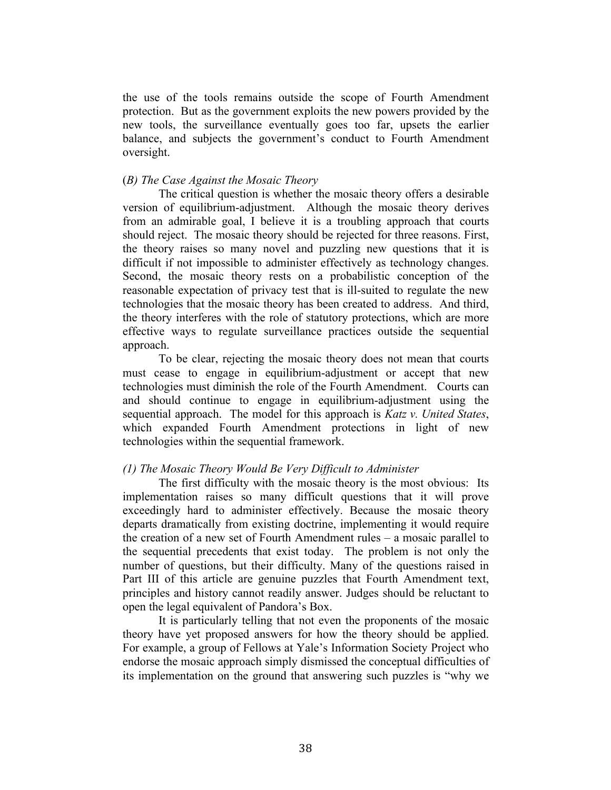the use of the tools remains outside the scope of Fourth Amendment protection. But as the government exploits the new powers provided by the new tools, the surveillance eventually goes too far, upsets the earlier balance, and subjects the government's conduct to Fourth Amendment oversight.

#### (*B) The Case Against the Mosaic Theory*

The critical question is whether the mosaic theory offers a desirable version of equilibrium-adjustment. Although the mosaic theory derives from an admirable goal, I believe it is a troubling approach that courts should reject. The mosaic theory should be rejected for three reasons. First, the theory raises so many novel and puzzling new questions that it is difficult if not impossible to administer effectively as technology changes. Second, the mosaic theory rests on a probabilistic conception of the reasonable expectation of privacy test that is ill-suited to regulate the new technologies that the mosaic theory has been created to address. And third, the theory interferes with the role of statutory protections, which are more effective ways to regulate surveillance practices outside the sequential approach.

To be clear, rejecting the mosaic theory does not mean that courts must cease to engage in equilibrium-adjustment or accept that new technologies must diminish the role of the Fourth Amendment. Courts can and should continue to engage in equilibrium-adjustment using the sequential approach. The model for this approach is *Katz v. United States*, which expanded Fourth Amendment protections in light of new technologies within the sequential framework.

#### *(1) The Mosaic Theory Would Be Very Difficult to Administer*

The first difficulty with the mosaic theory is the most obvious: Its implementation raises so many difficult questions that it will prove exceedingly hard to administer effectively. Because the mosaic theory departs dramatically from existing doctrine, implementing it would require the creation of a new set of Fourth Amendment rules – a mosaic parallel to the sequential precedents that exist today. The problem is not only the number of questions, but their difficulty. Many of the questions raised in Part III of this article are genuine puzzles that Fourth Amendment text, principles and history cannot readily answer. Judges should be reluctant to open the legal equivalent of Pandora's Box.

It is particularly telling that not even the proponents of the mosaic theory have yet proposed answers for how the theory should be applied. For example, a group of Fellows at Yale's Information Society Project who endorse the mosaic approach simply dismissed the conceptual difficulties of its implementation on the ground that answering such puzzles is "why we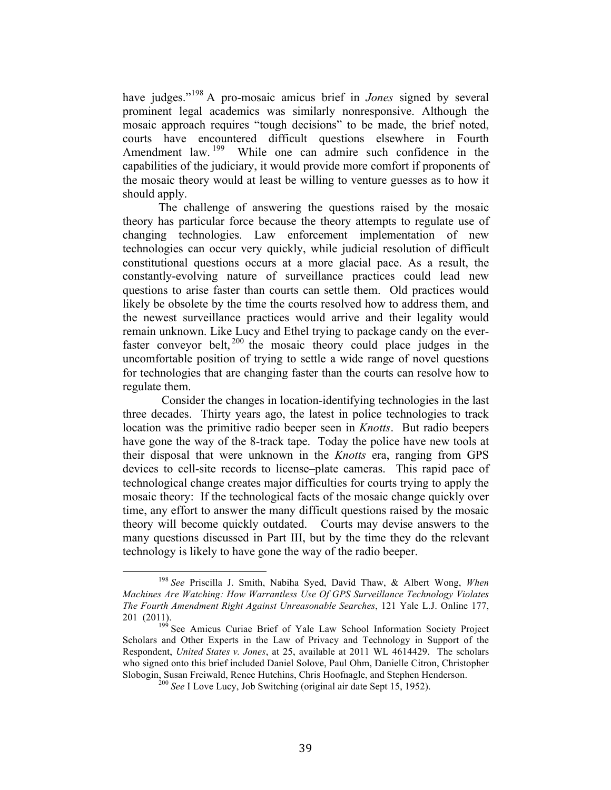have judges."<sup>198</sup> A pro-mosaic amicus brief in *Jones* signed by several prominent legal academics was similarly nonresponsive. Although the mosaic approach requires "tough decisions" to be made, the brief noted, courts have encountered difficult questions elsewhere in Fourth Amendment law. <sup>199</sup> While one can admire such confidence in the capabilities of the judiciary, it would provide more comfort if proponents of the mosaic theory would at least be willing to venture guesses as to how it should apply.

The challenge of answering the questions raised by the mosaic theory has particular force because the theory attempts to regulate use of changing technologies. Law enforcement implementation of new technologies can occur very quickly, while judicial resolution of difficult constitutional questions occurs at a more glacial pace. As a result, the constantly-evolving nature of surveillance practices could lead new questions to arise faster than courts can settle them. Old practices would likely be obsolete by the time the courts resolved how to address them, and the newest surveillance practices would arrive and their legality would remain unknown. Like Lucy and Ethel trying to package candy on the everfaster conveyor belt, <sup>200</sup> the mosaic theory could place judges in the uncomfortable position of trying to settle a wide range of novel questions for technologies that are changing faster than the courts can resolve how to regulate them.

Consider the changes in location-identifying technologies in the last three decades. Thirty years ago, the latest in police technologies to track location was the primitive radio beeper seen in *Knotts*. But radio beepers have gone the way of the 8-track tape. Today the police have new tools at their disposal that were unknown in the *Knotts* era, ranging from GPS devices to cell-site records to license–plate cameras. This rapid pace of technological change creates major difficulties for courts trying to apply the mosaic theory: If the technological facts of the mosaic change quickly over time, any effort to answer the many difficult questions raised by the mosaic theory will become quickly outdated. Courts may devise answers to the many questions discussed in Part III, but by the time they do the relevant technology is likely to have gone the way of the radio beeper.

<sup>&</sup>lt;sup>198</sup> See Priscilla J. Smith, Nabiha Syed, David Thaw, & Albert Wong, When *Machines Are Watching: How Warrantless Use Of GPS Surveillance Technology Violates The Fourth Amendment Right Against Unreasonable Searches*, 121 Yale L.J. Online 177, 201 (2011). 199 See Amicus Curiae Brief of Yale Law School Information Society Project

Scholars and Other Experts in the Law of Privacy and Technology in Support of the Respondent, *United States v. Jones*, at 25, available at 2011 WL 4614429. The scholars who signed onto this brief included Daniel Solove, Paul Ohm, Danielle Citron, Christopher Slobogin, Susan Freiwald, Renee Hutchins, Chris Hoofnagle, and Stephen Henderson. <sup>200</sup> *See* I Love Lucy, Job Switching (original air date Sept 15, 1952).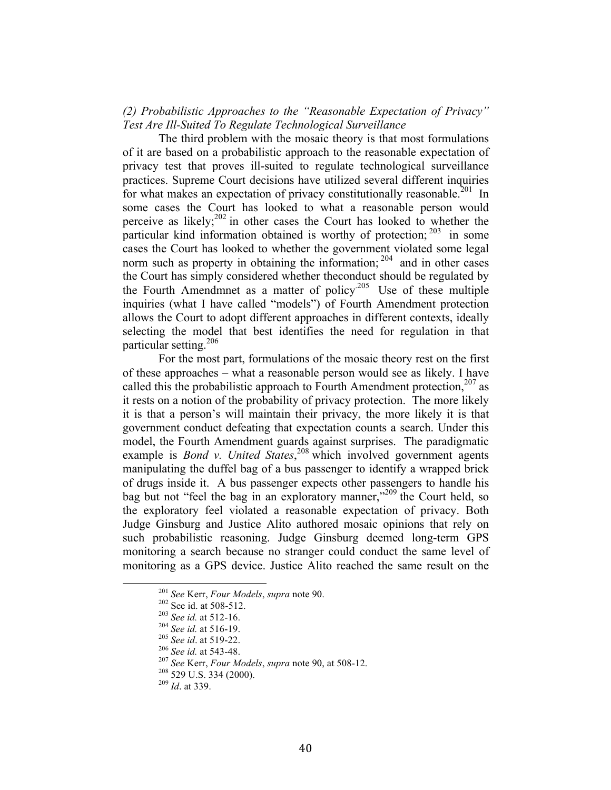## *(2) Probabilistic Approaches to the "Reasonable Expectation of Privacy" Test Are Ill-Suited To Regulate Technological Surveillance*

The third problem with the mosaic theory is that most formulations of it are based on a probabilistic approach to the reasonable expectation of privacy test that proves ill-suited to regulate technological surveillance practices. Supreme Court decisions have utilized several different inquiries for what makes an expectation of privacy constitutionally reasonable.<sup>201</sup> In some cases the Court has looked to what a reasonable person would perceive as likely; $^{202}$  in other cases the Court has looked to whether the particular kind information obtained is worthy of protection;<sup>203</sup> in some cases the Court has looked to whether the government violated some legal norm such as property in obtaining the information;  $^{204}$  and in other cases the Court has simply considered whether theconduct should be regulated by the Fourth Amendmnet as a matter of policy<sup>205</sup> Use of these multiple inquiries (what I have called "models") of Fourth Amendment protection allows the Court to adopt different approaches in different contexts, ideally selecting the model that best identifies the need for regulation in that particular setting.<sup>206</sup>

For the most part, formulations of the mosaic theory rest on the first of these approaches – what a reasonable person would see as likely. I have called this the probabilistic approach to Fourth Amendment protection,  $207$  as it rests on a notion of the probability of privacy protection. The more likely it is that a person's will maintain their privacy, the more likely it is that government conduct defeating that expectation counts a search. Under this model, the Fourth Amendment guards against surprises. The paradigmatic example is *Bond v. United States*,<sup>208</sup> which involved government agents manipulating the duffel bag of a bus passenger to identify a wrapped brick of drugs inside it. A bus passenger expects other passengers to handle his bag but not "feel the bag in an exploratory manner,"<sup>209</sup> the Court held, so the exploratory feel violated a reasonable expectation of privacy. Both Judge Ginsburg and Justice Alito authored mosaic opinions that rely on such probabilistic reasoning. Judge Ginsburg deemed long-term GPS monitoring a search because no stranger could conduct the same level of monitoring as a GPS device. Justice Alito reached the same result on the

<sup>&</sup>lt;sup>201</sup> *See* Kerr, *Four Models*, *supra* note 90.<br>
<sup>202</sup> See id. at 508-512.<br>
<sup>203</sup> *See id.* at 512-16.<br>
<sup>204</sup> *See id.* at 516-19.<br>
<sup>205</sup> *See id.* at 519-22.<br>
<sup>206</sup> *See id.* at 543-48.<br>
<sup>207</sup> *See* Kerr, *Four Models*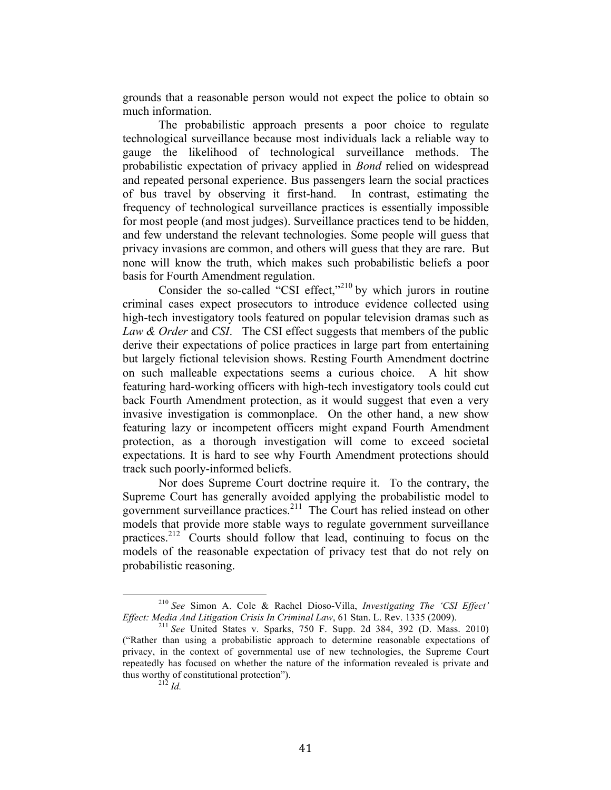grounds that a reasonable person would not expect the police to obtain so much information.

The probabilistic approach presents a poor choice to regulate technological surveillance because most individuals lack a reliable way to gauge the likelihood of technological surveillance methods. The probabilistic expectation of privacy applied in *Bond* relied on widespread and repeated personal experience. Bus passengers learn the social practices of bus travel by observing it first-hand. In contrast, estimating the frequency of technological surveillance practices is essentially impossible for most people (and most judges). Surveillance practices tend to be hidden, and few understand the relevant technologies. Some people will guess that privacy invasions are common, and others will guess that they are rare. But none will know the truth, which makes such probabilistic beliefs a poor basis for Fourth Amendment regulation.

Consider the so-called "CSI effect,"<sup>210</sup> by which jurors in routine criminal cases expect prosecutors to introduce evidence collected using high-tech investigatory tools featured on popular television dramas such as *Law & Order* and *CSI*. The CSI effect suggests that members of the public derive their expectations of police practices in large part from entertaining but largely fictional television shows. Resting Fourth Amendment doctrine on such malleable expectations seems a curious choice. A hit show featuring hard-working officers with high-tech investigatory tools could cut back Fourth Amendment protection, as it would suggest that even a very invasive investigation is commonplace. On the other hand, a new show featuring lazy or incompetent officers might expand Fourth Amendment protection, as a thorough investigation will come to exceed societal expectations. It is hard to see why Fourth Amendment protections should track such poorly-informed beliefs.

Nor does Supreme Court doctrine require it. To the contrary, the Supreme Court has generally avoided applying the probabilistic model to government surveillance practices.<sup>211</sup> The Court has relied instead on other models that provide more stable ways to regulate government surveillance practices.212 Courts should follow that lead, continuing to focus on the models of the reasonable expectation of privacy test that do not rely on probabilistic reasoning.

<sup>&</sup>lt;sup>210</sup> See Simon A. Cole & Rachel Dioso-Villa, *Investigating The 'CSI Effect' Effect: Media And Litigation Crisis In Criminal Law*, 61 Stan. L. Rev. 1335 (2009).

<sup>&</sup>lt;sup>211</sup> See United States v. Sparks, 750 F. Supp. 2d 384, 392 (D. Mass. 2010) ("Rather than using a probabilistic approach to determine reasonable expectations of privacy, in the context of governmental use of new technologies, the Supreme Court repeatedly has focused on whether the nature of the information revealed is private and thus worthy of constitutional protection").<br> $\frac{212}{Id}$ .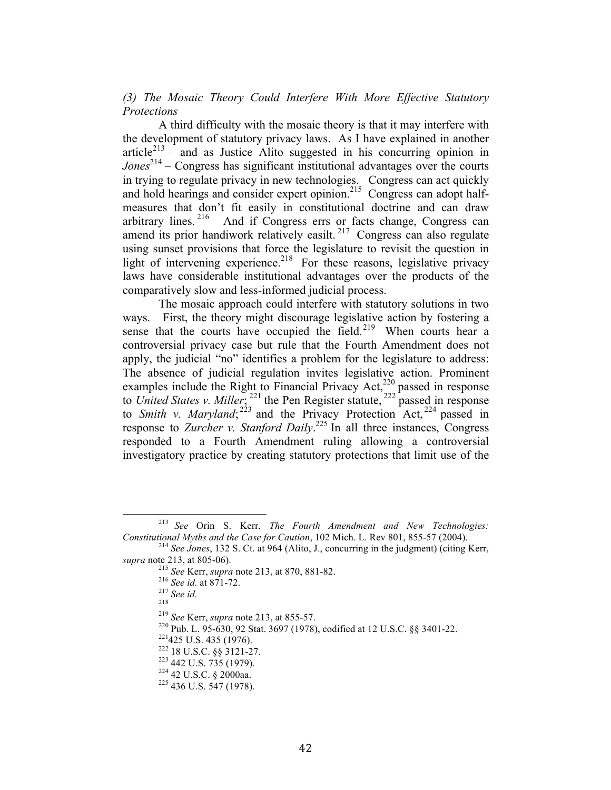*(3) The Mosaic Theory Could Interfere With More Effective Statutory Protections*

A third difficulty with the mosaic theory is that it may interfere with the development of statutory privacy laws. As I have explained in another article<sup> $213$ </sup> – and as Justice Alito suggested in his concurring opinion in *Jones*<sup>214</sup> – Congress has significant institutional advantages over the courts in trying to regulate privacy in new technologies. Congress can act quickly and hold hearings and consider expert opinion.<sup>215</sup> Congress can adopt halfmeasures that don't fit easily in constitutional doctrine and can draw arbitrary lines.  $2^{16}$  And if Congress errs or facts change, Congress can amend its prior handiwork relatively easilt.<sup>217</sup> Congress can also regulate using sunset provisions that force the legislature to revisit the question in light of intervening experience.<sup>218</sup> For these reasons, legislative privacy laws have considerable institutional advantages over the products of the comparatively slow and less-informed judicial process.

The mosaic approach could interfere with statutory solutions in two ways. First, the theory might discourage legislative action by fostering a sense that the courts have occupied the field.<sup>219</sup> When courts hear a controversial privacy case but rule that the Fourth Amendment does not apply, the judicial "no" identifies a problem for the legislature to address: The absence of judicial regulation invites legislative action. Prominent examples include the Right to Financial Privacy Act,<sup>220</sup> passed in response to *United States v. Miller*; <sup>221</sup> the Pen Register statute, <sup>222</sup> passed in response to *Smith v. Maryland*;<sup>223</sup> and the Privacy Protection Act,<sup>224</sup> passed in response to *Zurcher v. Stanford Daily*. <sup>225</sup> In all three instances, Congress responded to a Fourth Amendment ruling allowing a controversial investigatory practice by creating statutory protections that limit use of the

<sup>&</sup>lt;sup>213</sup> See Orin S. Kerr, *The Fourth Amendment and New Technologies:* 

*Constitutional Myths and the Case for Caution*, 102 Mich. L. Rev 801, 855-57 (2004).<br><sup>214</sup> *See Jones*, 132 S. Ct. at 964 (Alito, J., concurring in the judgment) (citing Kerr, *supra* note 213, at 805-06).

<sup>&</sup>lt;sup>215</sup> *See* Kerr, *supra* note 213, at 870, 881-82.<br><sup>216</sup> *See id.* at 871-72.<br><sup>217</sup> *See id.* 218

<sup>&</sup>lt;sup>219</sup> See Kerr, *supra* note 213, at 855-57.<br><sup>220</sup> Pub. L. 95-630, 92 Stat. 3697 (1978), codified at 12 U.S.C. §§ 3401-22.<br><sup>221</sup>425 U.S. 435 (1976).<br><sup>222</sup> 18 U.S.C. §§ 3121-27.<br><sup>223</sup> 442 U.S.C. § 2000aa.<br><sup>225</sup> 436 U.S. 54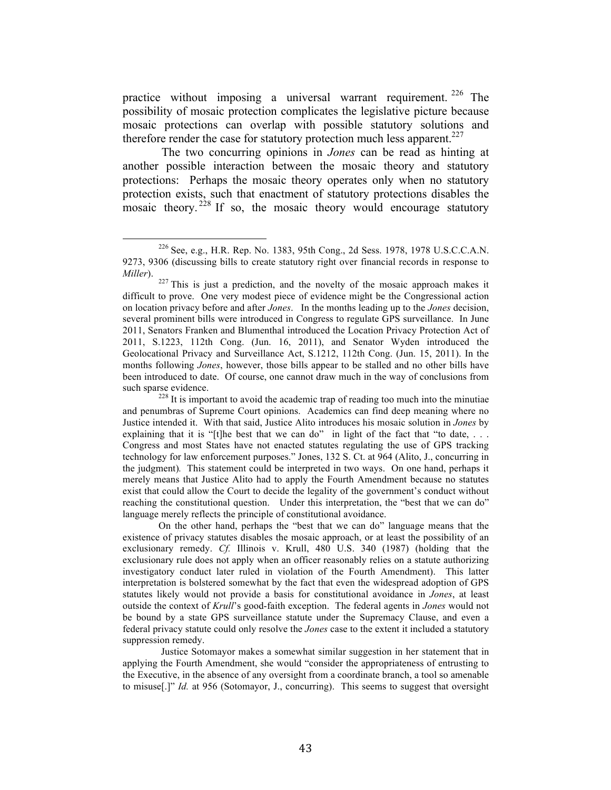practice without imposing a universal warrant requirement.  $226$  The possibility of mosaic protection complicates the legislative picture because mosaic protections can overlap with possible statutory solutions and therefore render the case for statutory protection much less apparent.<sup>227</sup>

The two concurring opinions in *Jones* can be read as hinting at another possible interaction between the mosaic theory and statutory protections: Perhaps the mosaic theory operates only when no statutory protection exists, such that enactment of statutory protections disables the mosaic theory.  $228$  If so, the mosaic theory would encourage statutory

On the other hand, perhaps the "best that we can do" language means that the existence of privacy statutes disables the mosaic approach, or at least the possibility of an exclusionary remedy. *Cf.* Illinois v. Krull, 480 U.S. 340 (1987) (holding that the exclusionary rule does not apply when an officer reasonably relies on a statute authorizing investigatory conduct later ruled in violation of the Fourth Amendment). This latter interpretation is bolstered somewhat by the fact that even the widespread adoption of GPS statutes likely would not provide a basis for constitutional avoidance in *Jones*, at least outside the context of *Krull*'s good-faith exception. The federal agents in *Jones* would not be bound by a state GPS surveillance statute under the Supremacy Clause, and even a federal privacy statute could only resolve the *Jones* case to the extent it included a statutory suppression remedy.

Justice Sotomayor makes a somewhat similar suggestion in her statement that in applying the Fourth Amendment, she would "consider the appropriateness of entrusting to the Executive, in the absence of any oversight from a coordinate branch, a tool so amenable to misuse[.]" *Id.* at 956 (Sotomayor, J., concurring). This seems to suggest that oversight

<sup>226</sup> See, e.g., H.R. Rep. No. 1383, 95th Cong., 2d Sess. 1978, 1978 U.S.C.C.A.N. 9273, 9306 (discussing bills to create statutory right over financial records in response to

*Miller*). <sup>227</sup> This is just a prediction, and the novelty of the mosaic approach makes it difficult to prove. One very modest piece of evidence might be the Congressional action on location privacy before and after *Jones*. In the months leading up to the *Jones* decision, several prominent bills were introduced in Congress to regulate GPS surveillance. In June 2011, Senators Franken and Blumenthal introduced the Location Privacy Protection Act of 2011, S.1223, 112th Cong. (Jun. 16, 2011), and Senator Wyden introduced the Geolocational Privacy and Surveillance Act, S.1212, 112th Cong. (Jun. 15, 2011). In the months following *Jones*, however, those bills appear to be stalled and no other bills have been introduced to date. Of course, one cannot draw much in the way of conclusions from

such sparse evidence.<br><sup>228</sup> It is important to avoid the academic trap of reading too much into the minutiae and penumbras of Supreme Court opinions. Academics can find deep meaning where no Justice intended it. With that said, Justice Alito introduces his mosaic solution in *Jones* by explaining that it is "[t]he best that we can do" in light of the fact that "to date,  $\ldots$ Congress and most States have not enacted statutes regulating the use of GPS tracking technology for law enforcement purposes." Jones, 132 S. Ct. at 964 (Alito, J., concurring in the judgment)*.* This statement could be interpreted in two ways. On one hand, perhaps it merely means that Justice Alito had to apply the Fourth Amendment because no statutes exist that could allow the Court to decide the legality of the government's conduct without reaching the constitutional question. Under this interpretation, the "best that we can do" language merely reflects the principle of constitutional avoidance.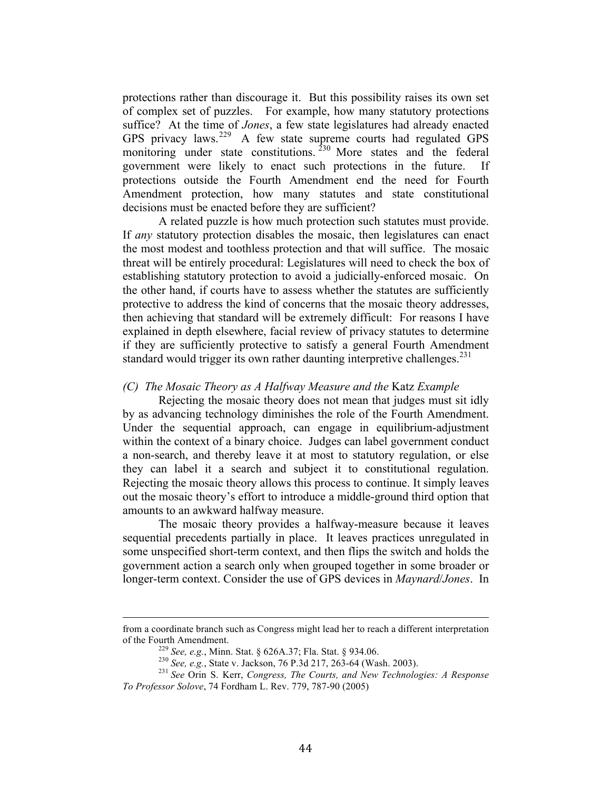protections rather than discourage it. But this possibility raises its own set of complex set of puzzles. For example, how many statutory protections suffice? At the time of *Jones*, a few state legislatures had already enacted GPS privacy laws.<sup>229</sup> A few state supreme courts had regulated GPS monitoring under state constitutions.<sup>230</sup> More states and the federal government were likely to enact such protections in the future. If protections outside the Fourth Amendment end the need for Fourth Amendment protection, how many statutes and state constitutional decisions must be enacted before they are sufficient?

A related puzzle is how much protection such statutes must provide. If *any* statutory protection disables the mosaic, then legislatures can enact the most modest and toothless protection and that will suffice. The mosaic threat will be entirely procedural: Legislatures will need to check the box of establishing statutory protection to avoid a judicially-enforced mosaic. On the other hand, if courts have to assess whether the statutes are sufficiently protective to address the kind of concerns that the mosaic theory addresses, then achieving that standard will be extremely difficult: For reasons I have explained in depth elsewhere, facial review of privacy statutes to determine if they are sufficiently protective to satisfy a general Fourth Amendment standard would trigger its own rather daunting interpretive challenges.<sup>231</sup>

#### *(C) The Mosaic Theory as A Halfway Measure and the* Katz *Example*

Rejecting the mosaic theory does not mean that judges must sit idly by as advancing technology diminishes the role of the Fourth Amendment. Under the sequential approach, can engage in equilibrium-adjustment within the context of a binary choice. Judges can label government conduct a non-search, and thereby leave it at most to statutory regulation, or else they can label it a search and subject it to constitutional regulation. Rejecting the mosaic theory allows this process to continue. It simply leaves out the mosaic theory's effort to introduce a middle-ground third option that amounts to an awkward halfway measure.

The mosaic theory provides a halfway-measure because it leaves sequential precedents partially in place. It leaves practices unregulated in some unspecified short-term context, and then flips the switch and holds the government action a search only when grouped together in some broader or longer-term context. Consider the use of GPS devices in *Maynard*/*Jones*. In

<sup>!!!!!!!!!!!!!!!!!!!!!!!!!!!!!!!!!!!!!!!!!!!!!!!!!!!!!!!!!!!!!!!!!!!!!!!!!!!!!!!!!!!!!!!!!!!!!!!!!!!!!!!!!!!!!!!!!!!!!!!!!!!!!!!!!!!!!!!!!!!!</sup> from a coordinate branch such as Congress might lead her to reach a different interpretation

<sup>%</sup> of the Fourth Amendment.<br>
<sup>229</sup> See, e.g., Minn. Stat. § 626A.37; Fla. Stat. § 934.06.<br>
<sup>230</sup> See, e.g., State v. Jackson, 76 P.3d 217, 263-64 (Wash. 2003).<br>
<sup>231</sup> See Orin S. Kerr, *Congress, The Courts, and New Techno To Professor Solove*, 74 Fordham L. Rev. 779, 787-90 (2005)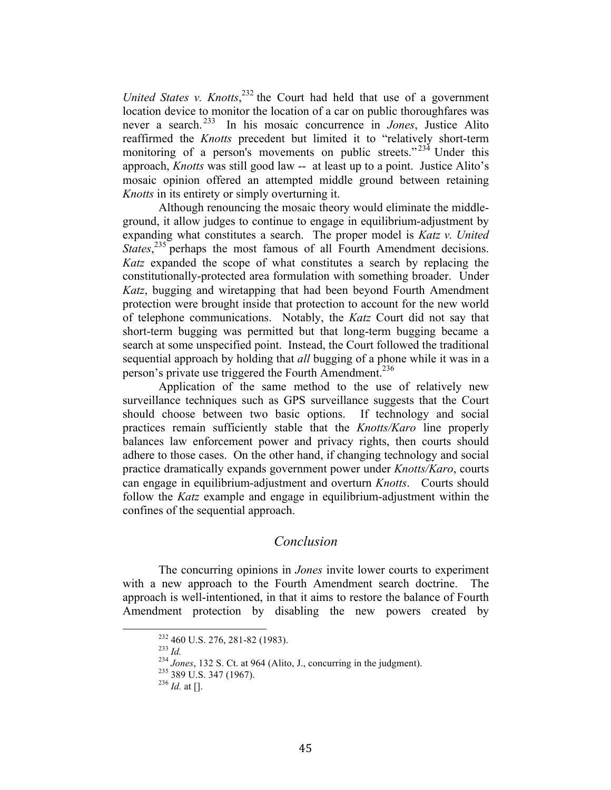United States v. Knotts,<sup>232</sup> the Court had held that use of a government location device to monitor the location of a car on public thoroughfares was never a search. 233 In his mosaic concurrence in *Jones*, Justice Alito reaffirmed the *Knotts* precedent but limited it to "relatively short-term monitoring of a person's movements on public streets." $23<sup>4</sup>$  Under this approach, *Knotts* was still good law -- at least up to a point. Justice Alito's mosaic opinion offered an attempted middle ground between retaining *Knotts* in its entirety or simply overturning it.

Although renouncing the mosaic theory would eliminate the middleground, it allow judges to continue to engage in equilibrium-adjustment by expanding what constitutes a search. The proper model is *Katz v. United States*<sup>235</sup> perhaps the most famous of all Fourth Amendment decisions. *Katz* expanded the scope of what constitutes a search by replacing the constitutionally-protected area formulation with something broader. Under *Katz*, bugging and wiretapping that had been beyond Fourth Amendment protection were brought inside that protection to account for the new world of telephone communications. Notably, the *Katz* Court did not say that short-term bugging was permitted but that long-term bugging became a search at some unspecified point. Instead, the Court followed the traditional sequential approach by holding that *all* bugging of a phone while it was in a person's private use triggered the Fourth Amendment.<sup>236</sup>

Application of the same method to the use of relatively new surveillance techniques such as GPS surveillance suggests that the Court should choose between two basic options. If technology and social practices remain sufficiently stable that the *Knotts/Karo* line properly balances law enforcement power and privacy rights, then courts should adhere to those cases. On the other hand, if changing technology and social practice dramatically expands government power under *Knotts/Karo*, courts can engage in equilibrium-adjustment and overturn *Knotts*. Courts should follow the *Katz* example and engage in equilibrium-adjustment within the confines of the sequential approach.

## *Conclusion*

The concurring opinions in *Jones* invite lower courts to experiment with a new approach to the Fourth Amendment search doctrine. The approach is well-intentioned, in that it aims to restore the balance of Fourth Amendment protection by disabling the new powers created by

<sup>&</sup>lt;sup>232</sup> 460 U.S. 276, 281-82 (1983).<br><sup>233</sup> *Id.*<br><sup>234</sup> Jones, 132 S. Ct. at 964 (Alito, J., concurring in the judgment).<br><sup>236</sup> 389 U.S. 347 (1967).<br><sup>236</sup> *Id.* at [].